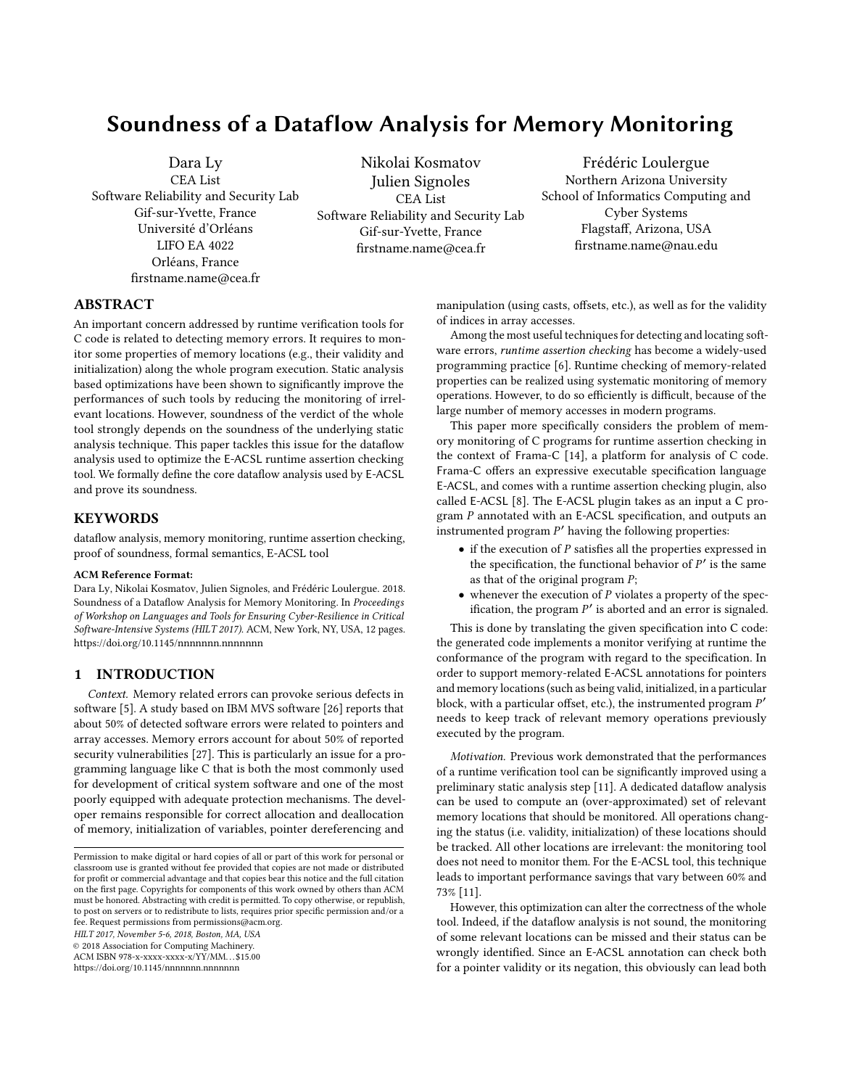# Soundness of a Dataflow Analysis for Memory Monitoring

Dara Ly CEA List Software Reliability and Security Lab Gif-sur-Yvette, France Université d'Orléans LIFO EA 4022 Orléans, France firstname.name@cea.fr

Nikolai Kosmatov Julien Signoles CEA List Software Reliability and Security Lab Gif-sur-Yvette, France firstname.name@cea.fr

Frédéric Loulergue Northern Arizona University School of Informatics Computing and Cyber Systems Flagstaff, Arizona, USA firstname.name@nau.edu

# ABSTRACT

An important concern addressed by runtime verification tools for C code is related to detecting memory errors. It requires to monitor some properties of memory locations (e.g., their validity and initialization) along the whole program execution. Static analysis based optimizations have been shown to significantly improve the performances of such tools by reducing the monitoring of irrelevant locations. However, soundness of the verdict of the whole tool strongly depends on the soundness of the underlying static analysis technique. This paper tackles this issue for the dataflow analysis used to optimize the E-ACSL runtime assertion checking tool. We formally define the core dataflow analysis used by E-ACSL and prove its soundness.

## **KEYWORDS**

dataflow analysis, memory monitoring, runtime assertion checking, proof of soundness, formal semantics, E-ACSL tool

#### ACM Reference Format:

Dara Ly, Nikolai Kosmatov, Julien Signoles, and Frédéric Loulergue. 2018. Soundness of a Dataflow Analysis for Memory Monitoring. In Proceedings of Workshop on Languages and Tools for Ensuring Cyber-Resilience in Critical Software-Intensive Systems (HILT 2017). ACM, New York, NY, USA, [12](#page-11-0) pages. <https://doi.org/10.1145/nnnnnnn.nnnnnnn>

#### 1 INTRODUCTION

Context. Memory related errors can provoke serious defects in software [\[5\]](#page-8-0). A study based on IBM MVS software [\[26\]](#page-8-1) reports that about 50% of detected software errors were related to pointers and array accesses. Memory errors account for about 50% of reported security vulnerabilities [\[27\]](#page-8-2). This is particularly an issue for a programming language like C that is both the most commonly used for development of critical system software and one of the most poorly equipped with adequate protection mechanisms. The developer remains responsible for correct allocation and deallocation of memory, initialization of variables, pointer dereferencing and

HILT 2017, November 5-6, 2018, Boston, MA, USA

© 2018 Association for Computing Machinery.

ACM ISBN 978-x-xxxx-xxxx-x/YY/MM. . . \$15.00

<https://doi.org/10.1145/nnnnnnn.nnnnnnn>

manipulation (using casts, offsets, etc.), as well as for the validity of indices in array accesses.

Among the most useful techniques for detecting and locating software errors, runtime assertion checking has become a widely-used programming practice [\[6\]](#page-8-3). Runtime checking of memory-related properties can be realized using systematic monitoring of memory operations. However, to do so efficiently is difficult, because of the large number of memory accesses in modern programs.

This paper more specifically considers the problem of memory monitoring of C programs for runtime assertion checking in the context of Frama-C [\[14\]](#page-8-4), a platform for analysis of C code. Frama-C offers an expressive executable specification language E-ACSL, and comes with a runtime assertion checking plugin, also called E-ACSL [\[8\]](#page-8-5). The E-ACSL plugin takes as an input a C program P annotated with an E-ACSL specification, and outputs an instrumented program  $P'$  having the following properties:

- $\bullet$  if the execution of  $P$  satisfies all the properties expressed in the specification, the functional behavior of  $P'$  is the same<br>as that of the original program  $P$ . as that of the original program  $P$ ;
- whenever the execution of  $P$  violates a property of the specification, the program P ′ is aborted and an error is signaled.

This is done by translating the given specification into C code: the generated code implements a monitor verifying at runtime the conformance of the program with regard to the specification. In order to support memory-related E-ACSL annotations for pointers and memory locations (such as being valid, initialized, in a particular block, with a particular offset, etc.), the instrumented program  $P'$ <br>needs to keep track of relevant memory operations previously needs to keep track of relevant memory operations previously executed by the program.

Motivation. Previous work demonstrated that the performances of a runtime verification tool can be significantly improved using a preliminary static analysis step [\[11\]](#page-8-6). A dedicated dataflow analysis can be used to compute an (over-approximated) set of relevant memory locations that should be monitored. All operations changing the status (i.e. validity, initialization) of these locations should be tracked. All other locations are irrelevant: the monitoring tool does not need to monitor them. For the E-ACSL tool, this technique leads to important performance savings that vary between 60% and 73% [\[11\]](#page-8-6).

However, this optimization can alter the correctness of the whole tool. Indeed, if the dataflow analysis is not sound, the monitoring of some relevant locations can be missed and their status can be wrongly identified. Since an E-ACSL annotation can check both for a pointer validity or its negation, this obviously can lead both

Permission to make digital or hard copies of all or part of this work for personal or classroom use is granted without fee provided that copies are not made or distributed for profit or commercial advantage and that copies bear this notice and the full citation on the first page. Copyrights for components of this work owned by others than ACM must be honored. Abstracting with credit is permitted. To copy otherwise, or republish, to post on servers or to redistribute to lists, requires prior specific permission and/or a fee. Request permissions from permissions@acm.org.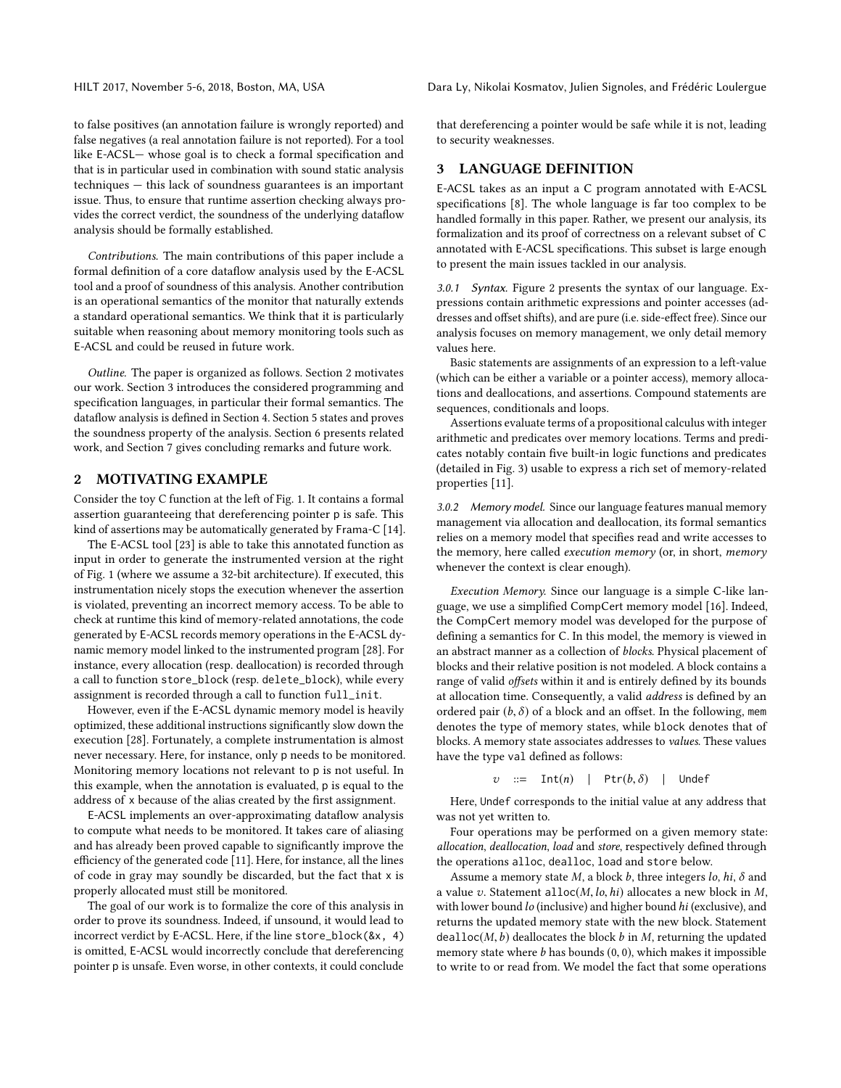HILT 2017, November 5-6, 2018, Boston, MA, USA Dara Ly, Nikolai Kosmatov, Julien Signoles, and Frédéric Loulergue

to false positives (an annotation failure is wrongly reported) and false negatives (a real annotation failure is not reported). For a tool like E-ACSL— whose goal is to check a formal specification and that is in particular used in combination with sound static analysis techniques — this lack of soundness guarantees is an important issue. Thus, to ensure that runtime assertion checking always provides the correct verdict, the soundness of the underlying dataflow analysis should be formally established.

Contributions. The main contributions of this paper include a formal definition of a core dataflow analysis used by the E-ACSL tool and a proof of soundness of this analysis. Another contribution is an operational semantics of the monitor that naturally extends a standard operational semantics. We think that it is particularly suitable when reasoning about memory monitoring tools such as E-ACSL and could be reused in future work.

Outline. The paper is organized as follows. Section [2](#page-1-0) motivates our work. Section [3](#page-1-1) introduces the considered programming and specification languages, in particular their formal semantics. The dataflow analysis is defined in Section [4.](#page-3-0) Section [5](#page-6-0) states and proves the soundness property of the analysis. Section [6](#page-7-0) presents related work, and Section [7](#page-7-1) gives concluding remarks and future work.

# <span id="page-1-0"></span>2 MOTIVATING EXAMPLE

Consider the toy C function at the left of Fig. [1.](#page-2-0) It contains a formal assertion guaranteeing that dereferencing pointer p is safe. This kind of assertions may be automatically generated by Frama-C [\[14\]](#page-8-4).

The E-ACSL tool [\[23\]](#page-8-7) is able to take this annotated function as input in order to generate the instrumented version at the right of Fig. [1](#page-2-0) (where we assume a 32-bit architecture). If executed, this instrumentation nicely stops the execution whenever the assertion is violated, preventing an incorrect memory access. To be able to check at runtime this kind of memory-related annotations, the code generated by E-ACSL records memory operations in the E-ACSL dynamic memory model linked to the instrumented program [\[28\]](#page-8-8). For instance, every allocation (resp. deallocation) is recorded through a call to function store\_block (resp. delete\_block), while every assignment is recorded through a call to function full\_init.

However, even if the E-ACSL dynamic memory model is heavily optimized, these additional instructions significantly slow down the execution [\[28\]](#page-8-8). Fortunately, a complete instrumentation is almost never necessary. Here, for instance, only p needs to be monitored. Monitoring memory locations not relevant to p is not useful. In this example, when the annotation is evaluated, p is equal to the address of x because of the alias created by the first assignment.

E-ACSL implements an over-approximating dataflow analysis to compute what needs to be monitored. It takes care of aliasing and has already been proved capable to significantly improve the efficiency of the generated code [\[11\]](#page-8-6). Here, for instance, all the lines of code in gray may soundly be discarded, but the fact that x is properly allocated must still be monitored.

The goal of our work is to formalize the core of this analysis in order to prove its soundness. Indeed, if unsound, it would lead to incorrect verdict by E-ACSL. Here, if the line store\_block(&x, 4) is omitted, E-ACSL would incorrectly conclude that dereferencing pointer p is unsafe. Even worse, in other contexts, it could conclude

that dereferencing a pointer would be safe while it is not, leading to security weaknesses.

# <span id="page-1-1"></span>3 LANGUAGE DEFINITION

E-ACSL takes as an input a C program annotated with E-ACSL specifications [\[8\]](#page-8-5). The whole language is far too complex to be handled formally in this paper. Rather, we present our analysis, its formalization and its proof of correctness on a relevant subset of C annotated with E-ACSL specifications. This subset is large enough to present the main issues tackled in our analysis.

3.0.1 Syntax. Figure [2](#page-2-1) presents the syntax of our language. Expressions contain arithmetic expressions and pointer accesses (addresses and offset shifts), and are pure (i.e. side-effect free). Since our analysis focuses on memory management, we only detail memory values here.

Basic statements are assignments of an expression to a left-value (which can be either a variable or a pointer access), memory allocations and deallocations, and assertions. Compound statements are sequences, conditionals and loops.

Assertions evaluate terms of a propositional calculus with integer arithmetic and predicates over memory locations. Terms and predicates notably contain five built-in logic functions and predicates (detailed in Fig. [3\)](#page-2-2) usable to express a rich set of memory-related properties [\[11\]](#page-8-6).

3.0.2 Memory model. Since our language features manual memory management via allocation and deallocation, its formal semantics relies on a memory model that specifies read and write accesses to the memory, here called execution memory (or, in short, memory whenever the context is clear enough).

Execution Memory. Since our language is a simple C-like language, we use a simplified CompCert memory model [\[16\]](#page-8-9). Indeed, the CompCert memory model was developed for the purpose of defining a semantics for C. In this model, the memory is viewed in an abstract manner as a collection of blocks. Physical placement of blocks and their relative position is not modeled. A block contains a range of valid offsets within it and is entirely defined by its bounds at allocation time. Consequently, a valid address is defined by an ordered pair  $(b, \delta)$  of a block and an offset. In the following, mem denotes the type of memory states, while block denotes that of blocks. A memory state associates addresses to values. These values have the type val defined as follows:

 $v$  := Int(n) | Ptr( $b, \delta$ ) | Undef

Here, Undef corresponds to the initial value at any address that was not yet written to.

Four operations may be performed on a given memory state: allocation, deallocation, load and store, respectively defined through the operations alloc, dealloc, load and store below.

Assume a memory state  $M$ , a block  $b$ , three integers  $lo$ ,  $hi$ ,  $\delta$  and a value v. Statement alloc $(M, lo, hi)$  allocates a new block in  $M$ , with lower bound lo (inclusive) and higher bound hi (exclusive), and returns the updated memory state with the new block. Statement dealloc( $M$ ,  $b$ ) deallocates the block  $b$  in  $M$ , returning the updated memory state where  $b$  has bounds  $(0, 0)$ , which makes it impossible to write to or read from. We model the fact that some operations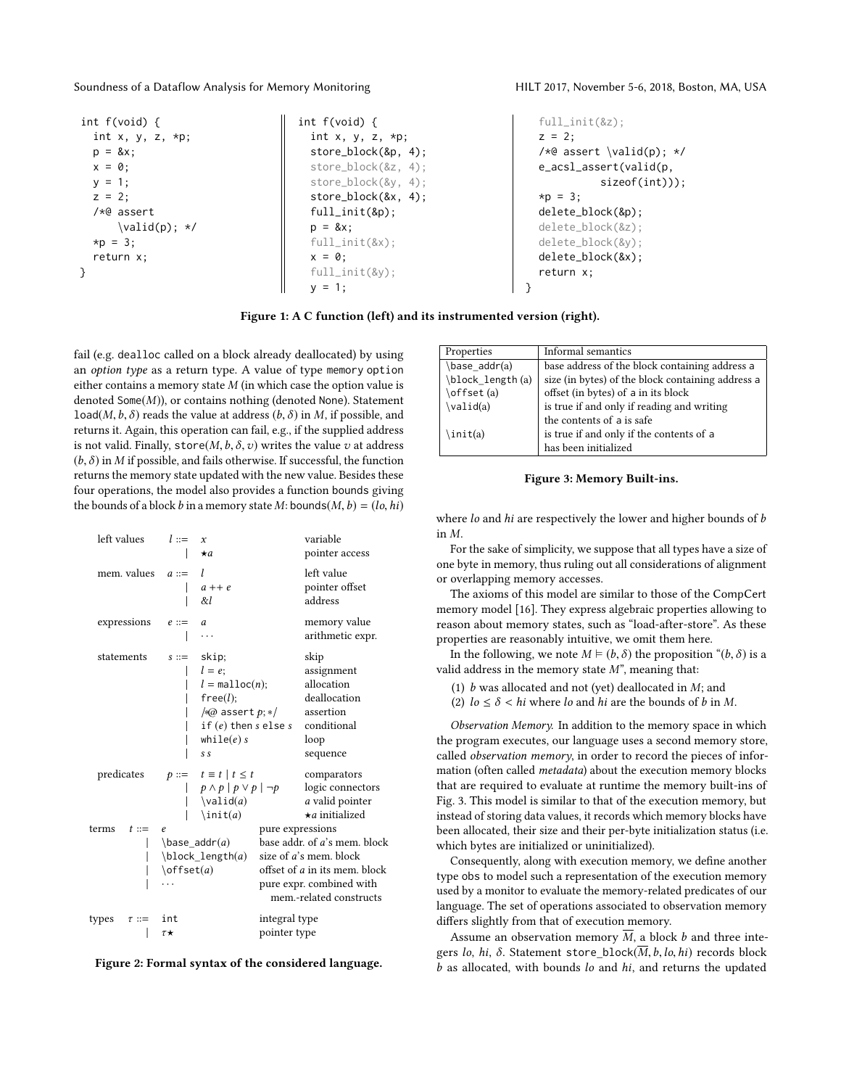<span id="page-2-0"></span>

| int $f(void)$ {     | int $f(void)$ {          |
|---------------------|--------------------------|
| int x, y, z, $*p$ ; | int x, y, z, $*p$ ;      |
| $p = 8x$ ;          | $store\_block($ &p, 4);  |
| $x = 0$ ;           | $store\_block(8z, 4)$ ;  |
| $y = 1$ ;           | $store\_block(\&y, 4)$ ; |
| $z = 2$ ;           | $store\_block(8x, 4)$ ;  |
| $/*@$ assert        | $full\_init(\&p);$       |
| $\valid(p); *$ /    | $p = 8x$ ;               |
| $\star p = 3$ ;     | $full\_init(\&x)$ :      |
| return x;           | $x = 0$ ;                |
|                     | $full\_init(\&y);$       |
|                     | $v = 1$ :                |

```
full_init(&z);
 z = 2;/*@ assert \valid(p); */
 e_acsl_assert(valid(p,
            sizeof(int)));
  *_{D} = 3:
 delete_block(&p);
 delete_block(&z);
 delete_block(&y);
 delete_block(&x);
  return x;
}
```
Figure 1: A C function (left) and its instrumented version (right).

fail (e.g. dealloc called on a block already deallocated) by using an option type as a return type. A value of type memory option either contains a memory state  $M$  (in which case the option value is denoted Some $(M)$ ), or contains nothing (denoted None). Statement load( $M$ ,  $b$ ,  $\delta$ ) reads the value at address ( $b$ ,  $\delta$ ) in  $M$ , if possible, and returns it. Again, this operation can fail, e.g., if the supplied address is not valid. Finally, store( $M$ ,  $b$ ,  $\delta$ ,  $v$ ) writes the value  $v$  at address  $(b, \delta)$  in M if possible, and fails otherwise. If successful, the function returns the memory state updated with the new value. Besides these four operations, the model also provides a function bounds giving the bounds of a block b in a memory state M: bounds( $M$ ,  $b$ ) = (lo, hi)

<span id="page-2-1"></span>

| left values         | $l ::=$<br>$\mathbf{x}$                                            | $\star$ a                                                                                                                                   |                                                                                                                                                                    | variable<br>pointer access                                                                       |
|---------------------|--------------------------------------------------------------------|---------------------------------------------------------------------------------------------------------------------------------------------|--------------------------------------------------------------------------------------------------------------------------------------------------------------------|--------------------------------------------------------------------------------------------------|
| mem. values         | I<br>$a ::=$                                                       | $a++e$<br>&l                                                                                                                                |                                                                                                                                                                    | left value<br>pointer offset<br>address                                                          |
| expressions         | $e ::=$<br>$\overline{a}$                                          | .                                                                                                                                           |                                                                                                                                                                    | memory value<br>arithmetic expr.                                                                 |
| statements          | $s ::=$                                                            | skip;<br>$l = e$ ;<br>$l = \text{malloc}(n);$<br>free(l);<br>$\sqrt{a}$ assert $p;*/$<br>if $(e)$ then $s$ else $s$<br>while $(e)$ s<br>S S |                                                                                                                                                                    | skip<br>assignment<br>allocation<br>deallocation<br>assertion<br>conditional<br>loop<br>sequence |
| predicates          |                                                                    | $p ::= t \equiv t   t \leq t$<br>$p \wedge p   p \vee p   \neg p$<br>$\Delta(a)$<br>$\int$ init $(a)$                                       |                                                                                                                                                                    | comparators<br>logic connectors<br>a valid pointer<br>$\star$ a initialized                      |
| terms<br>$t ::=$    | e<br>$\base$ _addr $(a)$<br>$\boldsymbol{\lambda}$<br>$\offset(a)$ |                                                                                                                                             | pure expressions<br>base addr. of a's mem. block<br>size of a's mem. block<br>offset of a in its mem. block<br>pure expr. combined with<br>mem.-related constructs |                                                                                                  |
| types<br>$\tau ::=$ | int<br>τ*                                                          |                                                                                                                                             | integral type<br>pointer type                                                                                                                                      |                                                                                                  |



<span id="page-2-2"></span>

| Properties           | Informal semantics                                |
|----------------------|---------------------------------------------------|
| $\base$ addr(a)      | base address of the block containing address a    |
| \block_length(a)     | size (in bytes) of the block containing address a |
| \offset(a)           | offset (in bytes) of a in its block               |
| $\forall$ alid $(a)$ | is true if and only if reading and writing        |
|                      | the contents of a is safe                         |
| \init(a)             | is true if and only if the contents of a          |
|                      | has been initialized                              |

#### Figure 3: Memory Built-ins.

where *lo* and *hi* are respectively the lower and higher bounds of *b* in M.

For the sake of simplicity, we suppose that all types have a size of one byte in memory, thus ruling out all considerations of alignment or overlapping memory accesses.

The axioms of this model are similar to those of the CompCert memory model [\[16\]](#page-8-9). They express algebraic properties allowing to reason about memory states, such as "load-after-store". As these properties are reasonably intuitive, we omit them here.

In the following, we note  $M \models (b, \delta)$  the proposition " $(b, \delta)$  is a valid address in the memory state  $M$ ", meaning that:

(1)  $b$  was allocated and not (yet) deallocated in  $M$ ; and

(2)  $lo \leq \delta$  < hi where lo and hi are the bounds of b in M.

Observation Memory. In addition to the memory space in which the program executes, our language uses a second memory store, called observation memory, in order to record the pieces of information (often called metadata) about the execution memory blocks that are required to evaluate at runtime the memory built-ins of Fig. [3.](#page-2-2) This model is similar to that of the execution memory, but instead of storing data values, it records which memory blocks have been allocated, their size and their per-byte initialization status (i.e. which bytes are initialized or uninitialized).

Consequently, along with execution memory, we define another type obs to model such a representation of the execution memory used by a monitor to evaluate the memory-related predicates of our language. The set of operations associated to observation memory differs slightly from that of execution memory.

Assume an observation memory  $\overline{M}$ , a block b and three integers lo, hi,  $\delta$ . Statement store\_block( $\overline{M}$ , b, lo, hi) records block  $b$  as allocated, with bounds  $lo$  and  $hi$ , and returns the updated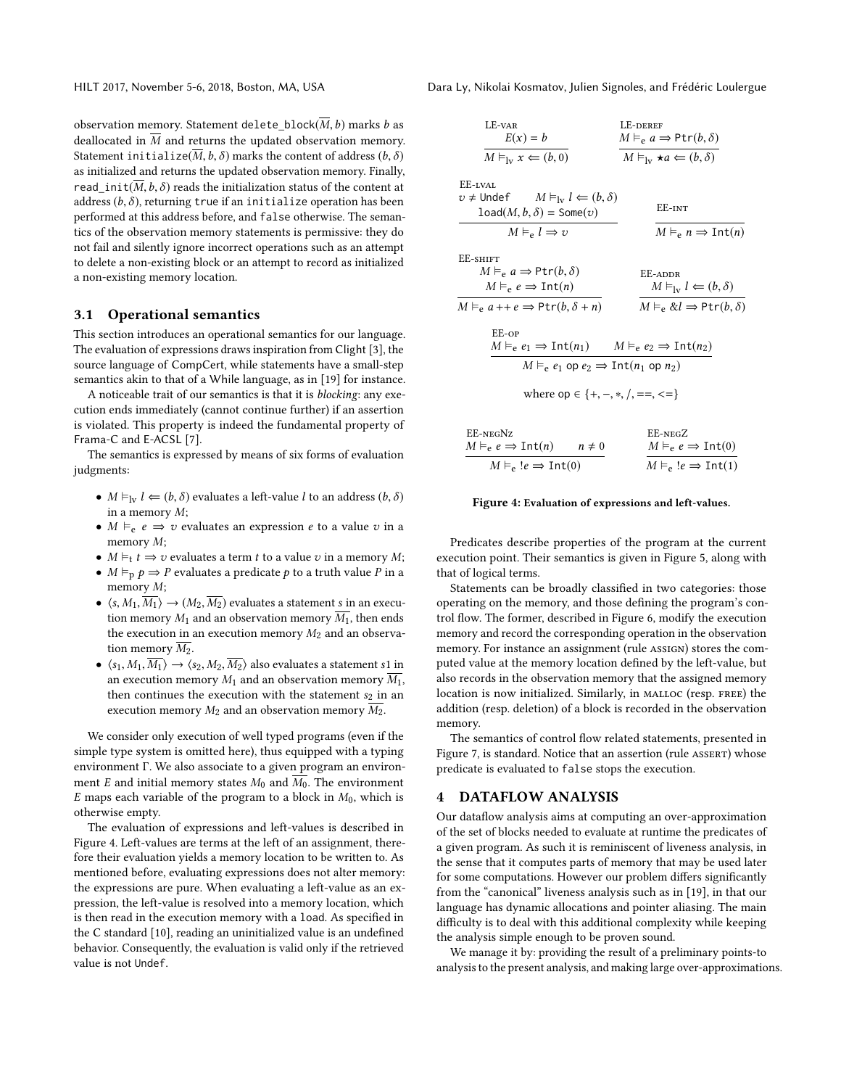observation memory. Statement delete\_block( $\overline{M}$ , b) marks b as deallocated in  $\overline{M}$  and returns the updated observation memory. Statement initialize( $\overline{M}$ ,  $b$ ,  $\delta$ ) marks the content of address ( $b$ ,  $\delta$ ) as initialized and returns the updated observation memory. Finally, read\_init( $\overline{M}$ , b,  $\delta$ ) reads the initialization status of the content at address  $(b, \delta)$ , returning true if an initialize operation has been performed at this address before, and false otherwise. The semantics of the observation memory statements is permissive: they do not fail and silently ignore incorrect operations such as an attempt to delete a non-existing block or an attempt to record as initialized a non-existing memory location.

#### 3.1 Operational semantics

This section introduces an operational semantics for our language. The evaluation of expressions draws inspiration from Clight [\[3\]](#page-8-10), the source language of CompCert, while statements have a small-step semantics akin to that of a While language, as in [\[19\]](#page-8-11) for instance.

A noticeable trait of our semantics is that it is blocking: any execution ends immediately (cannot continue further) if an assertion is violated. This property is indeed the fundamental property of Frama-C and E-ACSL [\[7\]](#page-8-12).

The semantics is expressed by means of six forms of evaluation judgments:

- $M \vDash_{\text{lv}} l \Leftarrow (b, \delta)$  evaluates a left-value l to an address  $(b, \delta)$ in a memory M;
- $M \vDash_{e} e \Rightarrow v$  evaluates an expression e to a value v in a memory M;
- $M \vDash_t t \Rightarrow v$  evaluates a term t to a value v in a memory M;
- $M \vDash_{p} p \Rightarrow P$  evaluates a predicate p to a truth value P in a memory M;
- $\langle s, M_1, \overline{M_1} \rangle \rightarrow (M_2, \overline{M_2})$  evaluates a statement s in an execution memory  $M_1$  and an observation memory  $\overline{M_1}$ , then ends the execution in an execution memory  $M_2$  and an observation memory  $\overline{M_2}$ .
- $\langle s_1, M_1, \overline{M_1} \rangle \rightarrow \langle s_2, M_2, \overline{M_2} \rangle$  also evaluates a statement s1 in an execution memory  $M_1$  and an observation memory  $\overline{M_1}$ , then continues the execution with the statement  $s_2$  in an execution memory  $M_2$  and an observation memory  $M_2$ .

We consider only execution of well typed programs (even if the simple type system is omitted here), thus equipped with a typing environment Γ. We also associate to a given program an environment E and initial memory states  $M_0$  and  $\overline{M_0}$ . The environment  $E$  maps each variable of the program to a block in  $M_0$ , which is otherwise empty.

The evaluation of expressions and left-values is described in Figure [4.](#page-3-1) Left-values are terms at the left of an assignment, therefore their evaluation yields a memory location to be written to. As mentioned before, evaluating expressions does not alter memory: the expressions are pure. When evaluating a left-value as an expression, the left-value is resolved into a memory location, which is then read in the execution memory with a load. As specified in the C standard [\[10\]](#page-8-13), reading an uninitialized value is an undefined behavior. Consequently, the evaluation is valid only if the retrieved value is not Undef.

HILT 2017, November 5-6, 2018, Boston, MA, USA Dara Ly, Nikolai Kosmatov, Julien Signoles, and Frédéric Loulergue

<span id="page-3-1"></span>LE-VAR  
\n
$$
E(x) = b
$$
  
\n $M \vDash_{e} a \Rightarrow \text{Ptr}(b, \delta)$   
\nEE-1VAL  
\n $v \neq \text{Under}$   
\n $M \vDash_{1} v \neq 0$   
\n $\text{load}(M, b, \delta) = \text{Some}(v)$   
\n $M \vDash_{e} l \Rightarrow v$   
\nEE-3HIFT  
\n $M \vDash_{e} a \Rightarrow \text{Ptr}(b, \delta)$   
\n $M \vDash_{e} a \Rightarrow \text{Ptr}(b, \delta)$   
\n $M \vDash_{e} e \Rightarrow \text{Int}(n)$   
\nEE-2HHT  
\n $M \vDash_{e} e \Rightarrow \text{Int}(n)$   
\n $M \vDash_{e} e \Rightarrow \text{Int}(n)$   
\n $M \vDash_{e} e \Rightarrow \text{Int}(n)$   
\n $M \vDash_{e} e_{1} \Rightarrow \text{Ptr}(b, \delta + n)$   
\n $M \vDash_{e} e_{2} \Rightarrow \text{Int}(n_{2})$   
\n $M \vDash_{e} e_{1} \Rightarrow \text{Int}(n_{1})$   
\n $M \vDash_{e} e_{2} \Rightarrow \text{Int}(n_{2})$   
\n $M \vDash_{e} e_{1} \text{op } e_{2} \Rightarrow \text{Int}(n_{1} \text{op } n_{2})$   
\nwhere op  $\varepsilon \{+, -, *, /, ==, < = \}$   
\nEE-NEGNZ  
\n $M \vDash_{e} e \Rightarrow \text{Int}(n)$   
\n $M \vDash_{e} e \Rightarrow \text{Int}(n)$   
\n $M \vDash_{e} e \Rightarrow \text{Int}(n)$   
\n $M \vDash_{e} e \Rightarrow \text{Int}(n)$   
\n $M \vDash_{e} e \Rightarrow \text{Int}(n)$   
\n $M \vDash_{e} e \Rightarrow \text{Int}(n)$   
\n $M \vDash_{e} e \Rightarrow \text{Int}(n)$ 

#### Figure 4: Evaluation of expressions and left-values.

 $M \vDash_{e} !e \Rightarrow \text{Int}(1)$ 

 $M \vDash_{e} !e \Rightarrow \text{Int}(0)$ 

Predicates describe properties of the program at the current execution point. Their semantics is given in Figure [5,](#page-4-0) along with that of logical terms.

Statements can be broadly classified in two categories: those operating on the memory, and those defining the program's control flow. The former, described in Figure [6,](#page-4-1) modify the execution memory and record the corresponding operation in the observation memory. For instance an assignment (rule ASSIGN) stores the computed value at the memory location defined by the left-value, but also records in the observation memory that the assigned memory location is now initialized. Similarly, in MALLOC (resp. FREE) the addition (resp. deletion) of a block is recorded in the observation memory.

The semantics of control flow related statements, presented in Figure [7,](#page-4-2) is standard. Notice that an assertion (rule assert) whose predicate is evaluated to false stops the execution.

## <span id="page-3-0"></span>4 DATAFLOW ANALYSIS

Our dataflow analysis aims at computing an over-approximation of the set of blocks needed to evaluate at runtime the predicates of a given program. As such it is reminiscent of liveness analysis, in the sense that it computes parts of memory that may be used later for some computations. However our problem differs significantly from the "canonical" liveness analysis such as in [\[19\]](#page-8-11), in that our language has dynamic allocations and pointer aliasing. The main difficulty is to deal with this additional complexity while keeping the analysis simple enough to be proven sound.

We manage it by: providing the result of a preliminary points-to analysis to the present analysis, and making large over-approximations.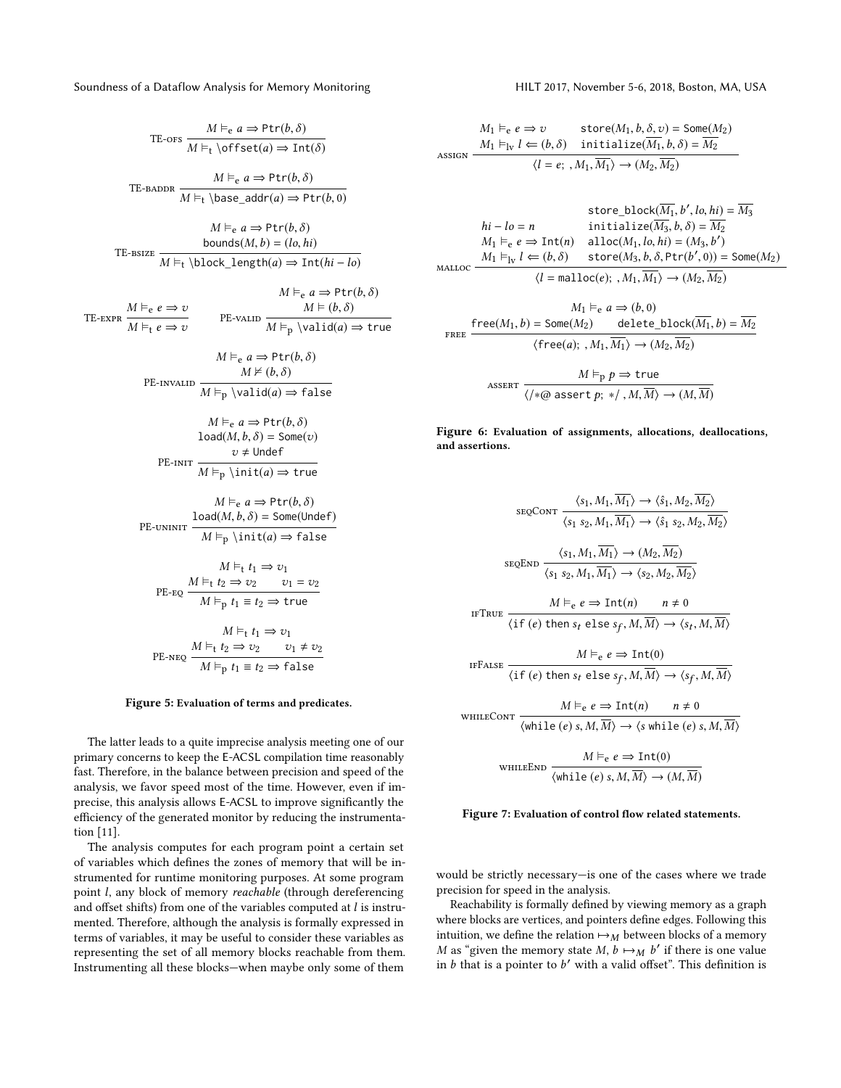<span id="page-4-0"></span>TE-ors 
$$
\frac{M \vDash_{e} a \Rightarrow \text{Ptr}(b, \delta)}{M \vDash_{t} \text{offset}(a) \Rightarrow \text{Int}(\delta)}
$$
  
TE-BADDR 
$$
\frac{M \vDash_{e} a \Rightarrow \text{Ptr}(b, \delta)}{M \vDash_{t} \text{base\_addr}(a) \Rightarrow \text{Ptr}(b, 0)}
$$

$$
M \vDash_{e} a \Rightarrow \text{Ptr}(b, \delta)
$$
  
bounds(M, b) = (lo, hi)  
TE-BSIZE  $\overline{M \vDash_{t} \text{block_length}(a) \Rightarrow \text{Int}(hi - lo)}$ 

 $M = \frac{1}{2}$ 

TE-expr  $M \vDash_{e} e \Rightarrow v$  $M \vDash_{t} e \Rightarrow v$ PE-valid  $\frac{M \models (b, \delta)}{M}$  $M \vDash_{e} a \Rightarrow \text{Ptr}(b, \delta)$ <br>  $M \vDash (b, \delta)$  $M \vDash_{\mathbf{p}} \langle \mathsf{valid}(a) \Rightarrow \mathsf{true}$ 

$$
M \vDash_{e} a \Rightarrow \text{Ptr}(b, \delta)
$$
  
PE-invalud
$$
\frac{M \nvDash (b, \delta)}{M \vDash_{p} \backslash \text{valid}(a) \Rightarrow \text{false}}
$$

$$
M \vDash_{e} a \Rightarrow \text{Ptr}(b, \delta)
$$

$$
\text{load}(M, b, \delta) = \text{Some}(v)
$$

$$
v \neq \text{Under}
$$

$$
\overline{M \vDash_{p} \setminus \text{init}(a) \Rightarrow \text{true}}
$$

$$
M \vDash_{e} a \Rightarrow \text{Ptr}(b, \delta)
$$

$$
\frac{\text{load}(M, b, \delta) = \text{Some}(\text{Under})}{M \vDash_{p} \text{init}(a) \Rightarrow \text{false}}
$$

$$
M \vDash_{t} t_{1} \Rightarrow v_{1}
$$
  
PE-EQ 
$$
\frac{M \vDash_{t} t_{2} \Rightarrow v_{2} \qquad v_{1} = v_{2}}{M \vDash_{p} t_{1} \equiv t_{2} \Rightarrow \text{true}}
$$

$$
M \vDash_{t} t_{1} \Rightarrow v_{1}
$$
  
PE-nEQ 
$$
\frac{M \vDash_{t} t_{2} \Rightarrow v_{2} \qquad v_{1} \neq v_{2}}{M \vDash_{p} t_{1} \equiv t_{2} \Rightarrow \text{false}}
$$

#### Figure 5: Evaluation of terms and predicates.

The latter leads to a quite imprecise analysis meeting one of our primary concerns to keep the E-ACSL compilation time reasonably fast. Therefore, in the balance between precision and speed of the analysis, we favor speed most of the time. However, even if imprecise, this analysis allows E-ACSL to improve significantly the efficiency of the generated monitor by reducing the instrumentation [11].

The analysis computes for each program point a certain set of variables which defines the zones of memory that will be instrumented for runtime monitoring purposes. At some program point l, any block of memory reachable (through dereferencing and offset shifts) from one of the variables computed at  $l$  is instrumented. Therefore, although the analysis is formally expressed in terms of variables, it may be useful to consider these variables as representing the set of all memory blocks reachable from them. Instrumenting all these blocks—when maybe only some of them

<span id="page-4-1"></span>
$$
M_1 \vDash_e e \Rightarrow v \qquad \text{store}(M_1, b, \delta, v) = \text{Some}(M_2)
$$
\n
$$
M_1 \vDash_{\text{lv}} l \Leftarrow (b, \delta) \qquad \text{initialize}(\overline{M_1}, b, \delta) = \overline{M_2}
$$
\n
$$
\langle l = e; , M_1, \overline{M_1} \rangle \rightarrow (M_2, \overline{M_2})
$$

$$
\begin{aligned}\n\text{store\_block}(\overline{M_1}, b', l_0, hi) &= \overline{M_3} \\
hi - l_0 &= n & \text{initialize}(\overline{M_3}, b, \delta) &= \overline{M_2} \\
M_1 \vDash_e e \Rightarrow \text{Int}(n) & \text{alloc}(M_1, l_0, hi) &= (M_3, b') \\
M_1 \vDash_{\text{lv}} l \Leftarrow (b, \delta) & \text{store}(M_3, b, \delta, \text{Ptr}(b', 0)) &= \text{Some}(M_2) \\
\langle l = \text{malloc}(e); \, M_1, \overline{M_1} \rangle \rightarrow (M_2, \overline{M_2})\n\end{aligned}
$$
\n
$$
\begin{aligned}\nM_1 \vDash_e a \Rightarrow (b, 0) \\
\text{Free}(M_1, b) &= \text{Some}(M_2) & \text{delete\_block}(\overline{M_1}, b) &= \overline{M_2} \\
\langle \text{free}(a); \, M_1, \overline{M_1} \rangle \rightarrow (M_2, \overline{M_2})\n\end{aligned}
$$
\n
$$
\text{ASSET} \xrightarrow{\qquad \qquad M \vDash_p p \Rightarrow \text{true}
$$
\n
$$
\begin{aligned}\nM \vDash_p p \Rightarrow \text{true} \\
\langle l \ast \varpi \text{ assert } p; \ast / \mathcal{M}, \overline{M} \rangle \rightarrow (M, \overline{M})\n\end{aligned}
$$

Figure 6: Evaluation of assignments, allocations, deallocations, and assertions.

<span id="page-4-2"></span>
$$
\frac{\langle s_1, M_1, \overline{M_1} \rangle \to \langle \hat{s}_1, M_2, \overline{M_2} \rangle}{\langle s_1 s_2, M_1, \overline{M_1} \rangle \to \langle \hat{s}_1 s_2, M_2, \overline{M_2} \rangle}
$$
\n
$$
\frac{\langle s_1, M_1, \overline{M_1} \rangle \to \langle \hat{s}_1 s_2, M_2, \overline{M_2} \rangle}{\langle s_1 s_2, M_1, \overline{M_1} \rangle \to \langle s_2, M_2, \overline{M_2} \rangle}
$$
\n
$$
\text{if } \langle e \rangle \text{ then } s_t \text{ else } s_f, M, \overline{M} \rangle \to \langle s_f, M, \overline{M} \rangle
$$
\n
$$
\text{if } \langle e \rangle \text{ then } s_t \text{ else } s_f, M, \overline{M} \rangle \to \langle s_f, M, \overline{M} \rangle
$$
\n
$$
\text{If } \overline{R} \text{ of } \langle e \rangle \text{ then } s_t \text{ else } s_f, M, \overline{M} \rangle \to \langle s_f, M, \overline{M} \rangle
$$
\n
$$
\text{If } \overline{R} \text{ of } \langle e \rangle \text{ then } s_t \text{ else } s_f, M, \overline{M} \rangle \to \langle s_f, M, \overline{M} \rangle
$$
\n
$$
\text{If } \overline{R} \text{ of } \langle e \rangle \text{ then } s_t \text{ else } s_f, M, \overline{M} \rangle \to \langle s_f, M, \overline{M} \rangle
$$
\n
$$
\text{If } \overline{R} \text{ of } \langle e \rangle \text{ then } s_t \text{ else } s_f, M, \overline{M} \rangle \to \langle s_f, M, \overline{M} \rangle
$$
\n
$$
\text{If } \overline{R} \text{ of } \langle e \rangle \text{ then } s_t \text{ else } s_f, M, \overline{M} \rangle \to \langle s_f, M, \overline{M} \rangle
$$
\n
$$
\text{If } \overline{R} \text{ of } \langle e \rangle \text{ then } s_t \text{ else } s_f, M, \overline{M} \rangle \to \langle s_f, M, \overline{M} \rangle
$$
\n<

WHILEEND 
$$
\overline{\langle \text{while } (e) \text{ s}, M, \overline{M} \rangle \rightarrow (M, \overline{M})}
$$

#### Figure 7: Evaluation of control flow related statements.

would be strictly necessary—is one of the cases where we trade precision for speed in the analysis.

Reachability is formally defined by viewing memory as a graph where blocks are vertices, and pointers define edges. Following this intuition, we define the relation  $\mapsto_M$  between blocks of a memory M as "given the memory state M,  $\ddot{b} \mapsto_M b'$  if there is one value<br>in h that is a pointer to h' with a valid offset". This definition is in  $b$  that is a pointer to  $b'$  with a valid offset". This definition is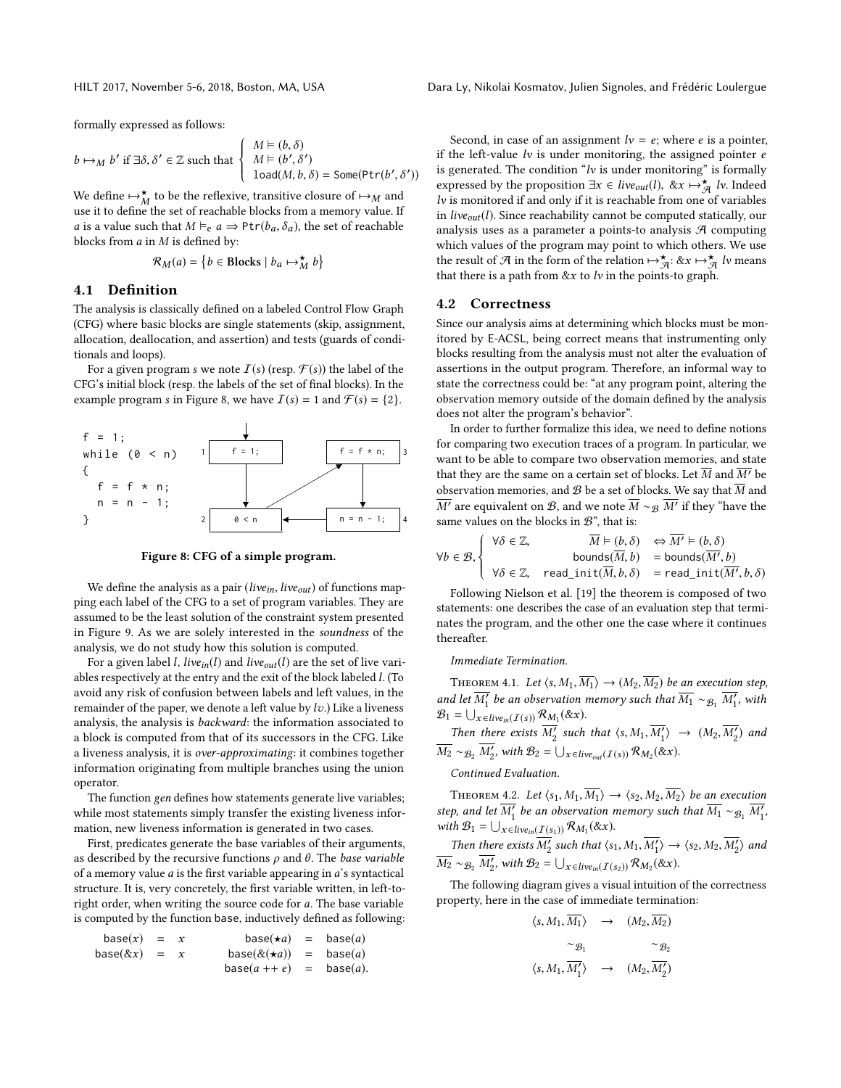formally expressed as follows:

$$
b \mapsto_M b' \text{ if } \exists \delta, \delta' \in \mathbb{Z} \text{ such that } \begin{cases} M \models (b, \delta) \\ M \models (b', \delta') \\ \text{load}(M, b, \delta) = \text{Some}(\text{Ptr}(b', \delta')) \end{cases}
$$

 $\begin{pmatrix} 1 & \text{load}(M, b, \delta) = \text{Some}(\text{Ptr}(b', \delta)) \end{pmatrix}$ <br>We define  $\mapsto \uparrow_M$  to be the reflexive, transitive closure of  $\mapsto_M$  and use it to define the set of reachable blocks from a memory value If use it to define the set of reachable blocks from a memory value. If *a* is a value such that  $M \vDash_e a \Rightarrow \text{Ptr}(b_a, \delta_a)$ , the set of reachable blocks from  $a$  in  $M$  is defined by:

$$
\mathcal{R}_M(a) = \left\{ b \in \text{blocks} \mid b_a \mapsto_M^{\star} b \right\}
$$

#### 4.1 Definition

The analysis is classically defined on a labeled Control Flow Graph (CFG) where basic blocks are single statements (skip, assignment, allocation, deallocation, and assertion) and tests (guards of conditionals and loops).

For a given program s we note  $\mathcal{I}(s)$  (resp.  $\mathcal{F}(s)$ ) the label of the CFG's initial block (resp. the labels of the set of final blocks). In the example program s in Figure [8,](#page-5-0) we have  $\mathcal{I}(s) = 1$  and  $\mathcal{F}(s) = \{2\}.$ 

<span id="page-5-0"></span>

Figure 8: CFG of a simple program.

We define the analysis as a pair (live<sub>in</sub>, live<sub>out</sub>) of functions mapping each label of the CFG to a set of program variables. They are assumed to be the least solution of the constraint system presented in Figure [9.](#page-6-1) As we are solely interested in the soundness of the analysis, we do not study how this solution is computed.

For a given label *l*, *live*<sub>in</sub>(*l*) and *live*<sub>out</sub>(*l*) are the set of live variables respectively at the entry and the exit of the block labeled l. (To avoid any risk of confusion between labels and left values, in the remainder of the paper, we denote a left value by  $\ell v$ .) Like a liveness analysis, the analysis is backward: the information associated to a block is computed from that of its successors in the CFG. Like a liveness analysis, it is over-approximating: it combines together information originating from multiple branches using the union operator.

The function gen defines how statements generate live variables; while most statements simply transfer the existing liveness information, new liveness information is generated in two cases.

First, predicates generate the base variables of their arguments, as described by the recursive functions  $\rho$  and  $\theta$ . The *base variable* of a memory value a is the first variable appearing in a's syntactical structure. It is, very concretely, the first variable written, in left-toright order, when writing the source code for a. The base variable is computed by the function base, inductively defined as following:

$$
base(x) = x \t\t base(\star a) = base(a)
$$
  
\n
$$
base(\&x) = x \t\t base(\&(\star a)) = base(a)
$$
  
\n
$$
base(a + e) = base(a).
$$

Second, in case of an assignment  $lv = e$ ; where e is a pointer, if the left-value  $lv$  is under monitoring, the assigned pointer  $e$ is generated. The condition " $lv$  is under monitoring" is formally expressed by the proposition  $\exists x \in live_{out}(l), \& x \mapsto_{\mathcal{A}}^{\star}lv$ . Indeed  $lu$  is monitored if and only if it is reachable from one of variables lv is monitored if and only if it is reachable from one of variables in *live<sub>out</sub>*(*l*). Since reachability cannot be computed statically, our analysis uses as a parameter a points-to analysis  $A$  computing which values of the program may point to which others. We use the result of A in the form of the relation  $\mapsto \frac{\star}{\sqrt{q}}$ :  $\&x \mapsto \frac{\star}{\sqrt{q}}$  lv means that there is a path from  $&x$  to  $l$ v in the points-to graph.

#### 4.2 Correctness

Since our analysis aims at determining which blocks must be monitored by E-ACSL, being correct means that instrumenting only blocks resulting from the analysis must not alter the evaluation of assertions in the output program. Therefore, an informal way to state the correctness could be: "at any program point, altering the observation memory outside of the domain defined by the analysis does not alter the program's behavior".

In order to further formalize this idea, we need to define notions for comparing two execution traces of a program. In particular, we want to be able to compare two observation memories, and state that they are the same on a certain set of blocks. Let  $\overline{M}$  and  $\overline{M'}$  be observation memories, and  ${\mathcal{B}}$  be a set of blocks. We say that  $\overline{M}$  and  $\overline{M'}$  are equivalent on B, and we note  $\overline{M} \sim_B \overline{M'}$  if they "have the same values on the blocks in  $\mathbb{R}^n$ " that is: same values on the blocks in  $\mathcal{B}$  ", that is:

$$
\forall b \in \mathcal{B}, \begin{cases} \forall \delta \in \mathbb{Z}, & \overline{M} \models (b, \delta) \iff \overline{M'} \models (b, \delta) \\ \text{bounds}(\overline{M}, b) & = \text{bounds}(\overline{M'}, b) \\ \forall \delta \in \mathbb{Z}, & \text{read\_init}(\overline{M}, b, \delta) = \text{read\_init}(\overline{M'}, b, \delta) \end{cases}
$$
  
Following Nielsen et al. [19] the theorem is composed of two

statements: one describes the case of an evaluation step that terminates the program, and the other one the case where it continues thereafter.

#### Immediate Termination.

THEOREM 4.1. Let  $\langle s, M_1, \overline{M_1} \rangle \rightarrow (M_2, \overline{M_2})$  be an execution step, and let  $\overline{M'_1}$  be an observation memory such that  $\overline{M_1} \sim_{\mathcal{B}_1} \overline{M'_1}$ , with  $\mathcal{B}_1 = \square$ , with  $\mathcal{B}_1 = \bigcup_{x \in live_{in}(I(s))} \mathcal{R}_{M_1}(\&x).$ 

Then there exists  $\overline{M'_2}$  such that  $\langle s, M_1, \overline{M'_1} \rangle \rightarrow (M_2, \overline{M'_2})$  and  $\overline{M_2} \sim_{\mathcal{B}_2} \overline{M'_2}$ , with  $\mathcal{B}_2 = \bigcup_{x \in live_{out}(I(s))} \mathcal{R}_{M_2}(\&x)$ .

Continued Evaluation.

THEOREM 4.2. Let  $\langle s_1, M_1, \overline{M_1} \rangle \rightarrow \langle s_2, M_2, \overline{M_2} \rangle$  be an execution step, and let  $\overline{M'_1}$  be an observation memory such that  $\overline{M_1} \sim_{\mathcal{B}_1} \overline{M'_1}$ ,<br>with  $\mathcal{B}_1 = \square$ ,  $\blacksquare$ ,  $\mathcal{F} \sim \mathcal{B} \times (\mathcal{S}_1 \times \mathcal{S}_2)$ with  $\mathcal{B}_1 = \bigcup_{x \in live_{in}(I(s_1))} \mathcal{R}_{M_1}(\&x).$ 

Then there exists  $\overline{M'_2}$  such that  $\langle s_1, M_1, \overline{M'_1} \rangle \rightarrow \langle s_2, M_2, \overline{M'_2} \rangle$  and  $\overline{M_2} \sim_{\mathcal{B}_2} \overline{M'_2}$ , with  $\mathcal{B}_2 = \bigcup_{x \in live_{in}(I(s_2))} \mathcal{R}_{M_2}(\&x)$ .

The following diagram gives a visual intuition of the correctness property, here in the case of immediate termination:

$$
\langle s, M_1, \overline{M_1} \rangle \rightarrow (M_2, \overline{M_2})
$$
  

$$
\sim g_1 \sim g_2
$$
  

$$
\langle s, M_1, \overline{M'_1} \rangle \rightarrow (M_2, \overline{M'_2})
$$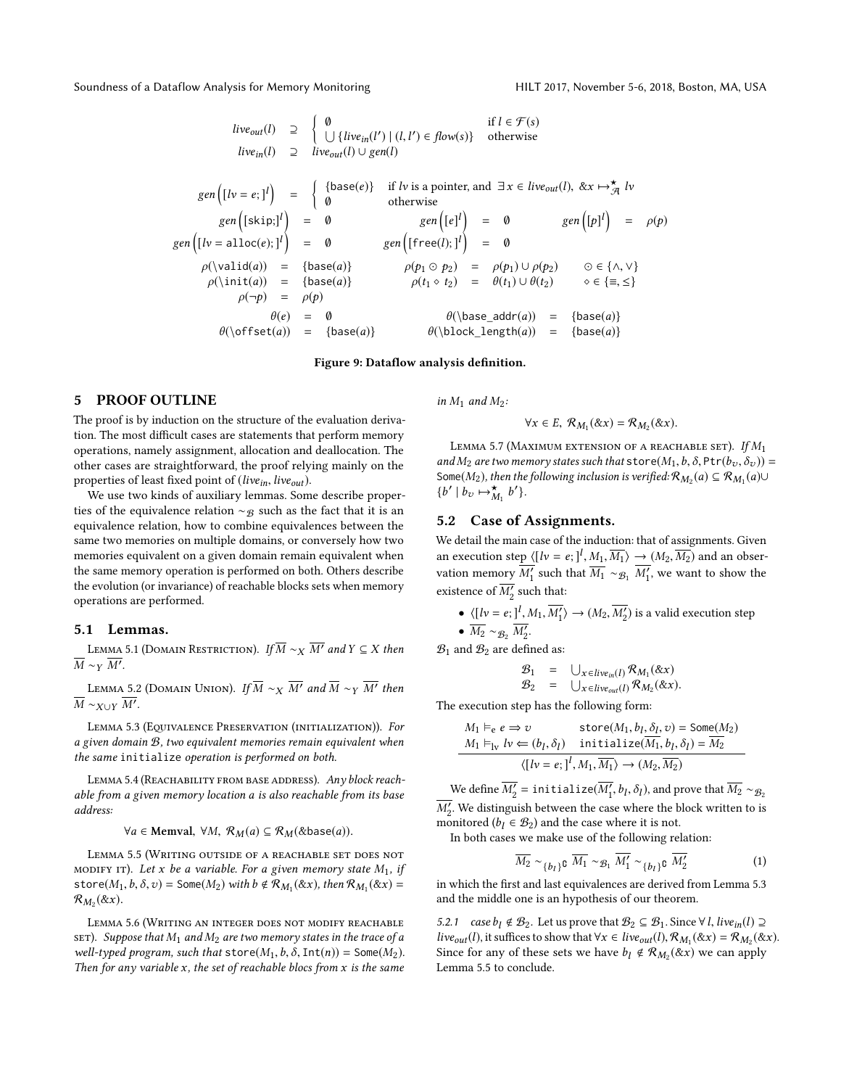<span id="page-6-1"></span>*liveout*(*l*) 
$$
\supseteq
$$
  $\begin{pmatrix} 0 & \text{if } l \in \mathcal{F}(s) \\ \bigcup \{live_{in}(l') \mid (l, l') \in flow(s)\} & \text{otherwise} \end{pmatrix}$   
\n*livein*(*l*)  $\supseteq$  *liveout*(*l*)  $\cup gen(l)$   
\n*gen*  $([lv = e; ]^l)$   $=$   $\begin{cases} {\text{base}(e)} & \text{if } l \text{ is a pointer, and } \exists x \in live_{out}(l), \& x \mapsto \frac{\star}{\mathcal{A}} \{lv \text{otherwise} \end{cases}$   
\n*gen*  $([skip:]^l)$   $=$  0 *gen*  $([e]^l$   $=$  0 *gen*  $([p]^l$   $=$  0 *gen*  $([p]^l$   $=$  0 *gen*  $([p]^l$   $=$  0 *gen*  $([p]^l$   $=$  0 *gen*  $([kq^l])$   $=$  0 *gen*  $([p^l])$   $=$  0 *gen*  $([kq^l])$   $=$  0 *gen*  $([p^l])$   $=$  0 *gen*  $([p^l])$   $=$  0 *gen*  $([p^l])$   $=$  0 *gen*  $([p^l])$   $=$  0 *gen*  $([ffree(l); l']$   $=$  0 *gen*  $([p^l])$   $=$  0 *gen*  $([kq^l])$   $=$  0 *gen*  $([kq^l])$   $=$  0 *open*  $([kq^l])$   $=$  0 *open*  $([kq^l])$   $=$  0 *open*  $([kq^l])$   $=$ 

#### Figure 9: Dataflow analysis definition.

## <span id="page-6-0"></span>5 PROOF OUTLINE

The proof is by induction on the structure of the evaluation derivation. The most difficult cases are statements that perform memory operations, namely assignment, allocation and deallocation. The other cases are straightforward, the proof relying mainly on the properties of least fixed point of (live $_{in}$ , live $_{out}$ ).

We use two kinds of auxiliary lemmas. Some describe properties of the equivalence relation  $\sim$ <sub>B</sub> such as the fact that it is an equivalence relation, how to combine equivalences between the same two memories on multiple domains, or conversely how two memories equivalent on a given domain remain equivalent when the same memory operation is performed on both. Others describe the evolution (or invariance) of reachable blocks sets when memory operations are performed.

#### 5.1 Lemmas.

<span id="page-6-5"></span>LEMMA 5.1 (DOMAIN RESTRICTION). If  $\overline{M} \sim_X \overline{M'}$  and  $Y \subseteq X$  then  $\overline{M} \sim_Y \overline{M'}$ .

<span id="page-6-6"></span>LEMMA 5.2 (DOMAIN UNION). If  $\overline{M} \sim_X \overline{M'}$  and  $\overline{M} \sim_Y \overline{M'}$  then  $\overline{M} \sim_{X\cup Y} \overline{M'}$ .

<span id="page-6-2"></span>LEMMA 5.3 (EQUIVALENCE PRESERVATION (INITIALIZATION)). For a given domain B, two equivalent memories remain equivalent when the same initialize operation is performed on both.

<span id="page-6-9"></span>LEMMA 5.4 (REACHABILITY FROM BASE ADDRESS). Any block reachable from a given memory location a is also reachable from its base address:

 $\forall a \in \text{Memval}, \ \forall M, \ \mathcal{R}_M(a) \subseteq \mathcal{R}_M(\&\text{base}(a)).$ 

<span id="page-6-3"></span>Lemma 5.5 (Writing outside of a reachable set does not MODIFY IT). Let x be a variable. For a given memory state  $M_1$ , if store( $M_1, b, \delta, v$ ) = Some( $M_2$ ) with  $b \notin \mathcal{R}_{M_1}(\& x)$ , then  $\mathcal{R}_{M_1}(\& x)$  =  $\mathcal{R}_{M_2}(\& x)$  $\mathcal{R}_{M_2}(\&\,)$ .

<span id="page-6-7"></span>Lemma 5.6 (Writing an integer does not modify reachable SET). Suppose that  $M_1$  and  $M_2$  are two memory states in the trace of a well-typed program, such that store( $M_1$ ,  $b$ ,  $\delta$ ,  $Int(n)$ ) = Some( $M_2$ ). Then for any variable  $x$ , the set of reachable blocs from  $x$  is the same

in  $M_1$  and  $M_2$ :

$$
\forall x \in E, R_{M_1}(\& x) = R_{M_2}(\& x).
$$

<span id="page-6-8"></span>LEMMA 5.7 (MAXIMUM EXTENSION OF A REACHABLE SET). If  $M_1$ and  $M_2$  are two memory states such that store( $M_1$ , b,  $\delta$ , Ptr( $b_v$ ,  $\delta_v$ )) = Some( $M_2$ ), then the following inclusion is verified:  $\mathcal{R}_{M_2}(a) \subseteq \mathcal{R}_{M_1}(a) \cup$ <br> $\{h' \mid h \implies h'\}$  $\{b'\mid b_v \mapsto_{M_1}^{\star} b$ ′ }.

## 5.2 Case of Assignments.

We detail the main case of the induction: that of assignments. Given an execution step  $\langle [h = e] \cdot ]^l$ ,  $M_1$ ,  $\overline{M_1}$   $\rightarrow$   $(M_2, \overline{M_2})$  and an obser-<br>vector memory  $M'$  such that  $\overline{M}$  and  $M'$  are worth a short that vation memory  $\overline{M'_1}$  such that  $\overline{M_1} \sim_{\mathcal{B}_1} \overline{M'_1}$ , we want to show the existence of  $\overline{M'_2}$  such that:

• 
$$
\langle [lv = e; ]^l, M_1, \overline{M'_1} \rangle \rightarrow (M_2, \overline{M'_2})
$$
 is a valid execution step  
\n•  $\overline{M_2} \sim_{\mathcal{B}_2} \overline{M'_2}$ .

 $\mathcal{B}_1$  and  $\mathcal{B}_2$  are defined as:

$$
\begin{array}{lll}\mathcal{B}_1 & = & \bigcup_{x \in live_{in}(I)} \mathcal{R}_{M_1}(\& x) \\
\mathcal{B}_2 & = & \bigcup_{x \in live_{out}(I)} \mathcal{R}_{M_2}(\& x).\n\end{array}
$$

The execution step has the following form:

$$
M_1 \vDash_{e} e \Rightarrow v \quad \text{store}(M_1, b_1, \delta_1, v) = \text{Some}(M_2)
$$
\n
$$
M_1 \vDash_{\text{lv}} l v \Leftarrow (b_l, \delta_l) \quad \text{initialize}(\overline{M_1}, b_l, \delta_l) = \overline{M_2}
$$
\n
$$
\langle [l v = e; ]^l, M_1, \overline{M_1} \rangle \rightarrow (M_2, \overline{M_2})
$$

We define  $\overline{M'_2}$  = initialize( $\overline{M'_1}$ ,  $b_l$ ,  $\delta_l$ ), and prove that  $\overline{M_2} \sim_{\mathcal{B}_2}$  $\overline{M'_2}$ . We distinguish between the case where the block written to is monitored (b,  $\in \mathcal{B}_2$ ) and the case where it is not monitored ( $b_1 \in B_2$ ) and the case where it is not.

In both cases we make use of the following relation:

<span id="page-6-4"></span>
$$
\overline{M_2} \sim_{\{b_l\}} \mathfrak{g} \ \overline{M_1} \sim_{\mathcal{B}_1} \overline{M'_1} \sim_{\{b_l\}} \mathfrak{g} \ \overline{M'_2} \tag{1}
$$

in which the first and last equivalences are derived from Lemma [5.3](#page-6-2) and the middle one is an hypothesis of our theorem.

5.2.1 case  $b_l \notin \mathcal{B}_2$ . Let us prove that  $\mathcal{B}_2 \subseteq \mathcal{B}_1$ . Since ∀*l*, *live<sub>in</sub>*(*l*) ⊇ live<sub>out</sub>(l), it suffices to show that  $\forall x \in live_{out}(l), \mathcal{R}_{M_1}(\& x) = \mathcal{R}_{M_2}(\& x)$ .<br>Since for any of these sets we have h,  $\& \mathcal{R}_{M_1}(\& x)$  we can apply Since for any of these sets we have  $b_l \notin \mathcal{R}_{M_2}(\& x)$  we can apply Lemma 5.5 to conclude Lemma [5.5](#page-6-3) to conclude.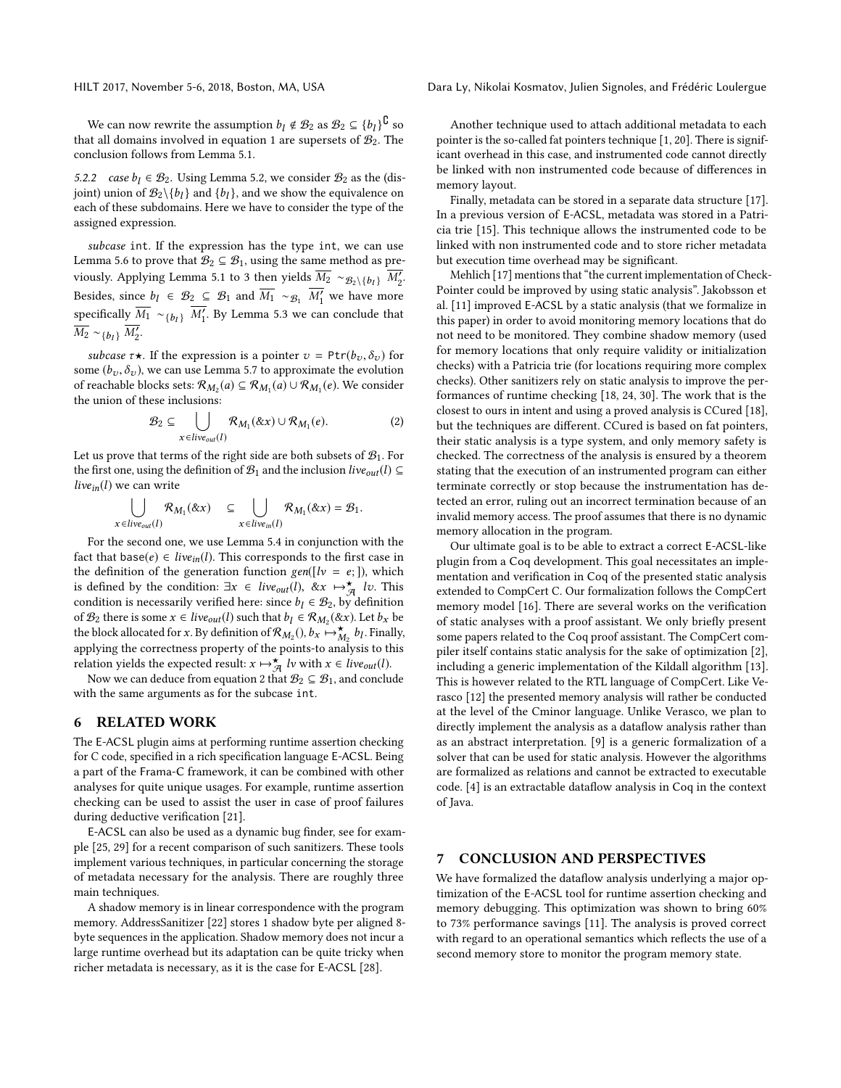We can now rewrite the assumption  $b_l \notin \mathcal{B}_2$  as  $\mathcal{B}_2 \subseteq \{b_l\}^{\complement}$  so  $b_l$  and  $b_l$  are supercets of  $\mathcal{B}_2$ . The that all domains involved in equation [1](#page-6-4) are supersets of  $B_2$ . The conclusion follows from Lemma [5.1.](#page-6-5)

5.2.2 case  $b_1 \in \mathcal{B}_2$ . Using Lemma [5.2,](#page-6-6) we consider  $\mathcal{B}_2$  as the (disjoint) union of  $\mathcal{B}_2 \setminus \{b_l\}$  and  $\{b_l\}$ , and we show the equivalence on each of these subdomains. Here we have to consider the type of the each of these subdomains. Here we have to consider the type of the assigned expression.

subcase int. If the expression has the type int, we can use Lemma [5.6](#page-6-7) to prove that  $\mathcal{B}_2 \subseteq \mathcal{B}_1$ , using the same method as pre-viously. Applying Lemma [5.1](#page-6-5) to [3](#page-10-0) then yields  $\overline{M_2} \sim g_2 \setminus \{b_l\}$   $\overline{M'_2}$ . Besides, since  $b_l \in \mathcal{B}_2 \subseteq \mathcal{B}_1$  and  $\overline{M_1} \sim_{\mathcal{B}_1} \overline{M'_1}$  we have more specifically  $\overline{M_1} \sim_{\{b_l\}} \overline{M'_1}$ . By Lemma [5.3](#page-6-2) we can conclude that  $\overline{M_2} \sim_{\{b_l\}} \overline{M'_2}.$ 

subcase  $\tau \star$ . If the expression is a pointer  $v = \text{Ptr}(b_v, \delta_v)$  for some  $(b_v, \delta_v)$ , we can use Lemma [5.7](#page-6-8) to approximate the evolution of reachable blocks sets:  $\mathcal{R}_{M_2}(a) \subseteq \mathcal{R}_{M_1}(a) \cup \mathcal{R}_{M_1}(e)$ . We consider the union of these inclusions: the union of these inclusions:

<span id="page-7-2"></span>
$$
\mathcal{B}_2 \subseteq \bigcup_{x \in live_{out}(I)} \mathcal{R}_{M_1}(\&x) \cup \mathcal{R}_{M_1}(e). \tag{2}
$$

Let us prove that terms of the right side are both subsets of  $B_1$ . For the first one, using the definition of  $\mathcal{B}_1$  and the inclusion live<sub>out</sub>(l) ⊆ live $_{in}(l)$  we can write

$$
\bigcup_{x \in live_{out}(I)} \mathcal{R}_{M_1}(\& x) \subseteq \bigcup_{x \in live_{in}(I)} \mathcal{R}_{M_1}(\& x) = \mathcal{B}_1.
$$

For the second one, we use Lemma [5.4](#page-6-9) in conjunction with the fact that base(e)  $\in live_{in}(l)$ . This corresponds to the first case in the definition of the generation function gen( $[lv = e;]$ ), which is defined by the condition:  $\exists x \in live_{out}(l), \& x \mapsto \overline{a} \quad iv$ . This condition is necessarily verified here: since  $b_l \in \mathcal{B}_2$ , by definition of  $\mathcal{B}_2$  there is some  $x \in live_{out}(l)$  such that  $b_l \in \mathcal{R}_{M_2}(\& x)$ . Let  $b_x$  be the block allocated for x By definition of  $\mathcal{R}_{M_2}(h)$   $\rightarrow \infty$  by Finally the block allocated for x. By definition of  $\mathcal{R}_{M_2}$  (),  $b_x \mapsto_{M_2}^{\star} b_l$ . Finally, applying the correctness property of the points-to analysis to this relation yields the expected result:  $x \mapsto \overline{f}$  *lv* with  $x \in live_{out}(l)$ .<br>Now we can deduce from equation 2 that  $\mathcal{B}_2 \subset \mathcal{B}_2$  and conclusion

Now we can deduce from equation [2](#page-7-2) that  $\mathcal{B}_2 \subseteq \mathcal{B}_1$ , and conclude with the same arguments as for the subcase int.

#### <span id="page-7-0"></span>6 RELATED WORK

The E-ACSL plugin aims at performing runtime assertion checking for C code, specified in a rich specification language E-ACSL. Being a part of the Frama-C framework, it can be combined with other analyses for quite unique usages. For example, runtime assertion checking can be used to assist the user in case of proof failures during deductive verification [\[21\]](#page-8-14).

E-ACSL can also be used as a dynamic bug finder, see for example [\[25,](#page-8-15) [29\]](#page-8-16) for a recent comparison of such sanitizers. These tools implement various techniques, in particular concerning the storage of metadata necessary for the analysis. There are roughly three main techniques.

A shadow memory is in linear correspondence with the program memory. AddressSanitizer [\[22\]](#page-8-17) stores 1 shadow byte per aligned 8 byte sequences in the application. Shadow memory does not incur a large runtime overhead but its adaptation can be quite tricky when richer metadata is necessary, as it is the case for E-ACSL [\[28\]](#page-8-8).

HILT 2017, November 5-6, 2018, Boston, MA, USA Dara Ly, Nikolai Kosmatov, Julien Signoles, and Frédéric Loulergue

Another technique used to attach additional metadata to each pointer is the so-called fat pointers technique [\[1,](#page-8-18) [20\]](#page-8-19). There is significant overhead in this case, and instrumented code cannot directly be linked with non instrumented code because of differences in memory layout.

Finally, metadata can be stored in a separate data structure [\[17\]](#page-8-20). In a previous version of E-ACSL, metadata was stored in a Patricia trie [\[15\]](#page-8-21). This technique allows the instrumented code to be linked with non instrumented code and to store richer metadata but execution time overhead may be significant.

Mehlich [\[17\]](#page-8-20) mentions that "the current implementation of Check-Pointer could be improved by using static analysis". Jakobsson et al. [\[11\]](#page-8-6) improved E-ACSL by a static analysis (that we formalize in this paper) in order to avoid monitoring memory locations that do not need to be monitored. They combine shadow memory (used for memory locations that only require validity or initialization checks) with a Patricia trie (for locations requiring more complex checks). Other sanitizers rely on static analysis to improve the performances of runtime checking [\[18,](#page-8-22) [24,](#page-8-23) [30\]](#page-8-24). The work that is the closest to ours in intent and using a proved analysis is CCured [\[18\]](#page-8-22), but the techniques are different. CCured is based on fat pointers, their static analysis is a type system, and only memory safety is checked. The correctness of the analysis is ensured by a theorem stating that the execution of an instrumented program can either terminate correctly or stop because the instrumentation has detected an error, ruling out an incorrect termination because of an invalid memory access. The proof assumes that there is no dynamic memory allocation in the program.

Our ultimate goal is to be able to extract a correct E-ACSL-like plugin from a Coq development. This goal necessitates an implementation and verification in Coq of the presented static analysis extended to CompCert C. Our formalization follows the CompCert memory model [\[16\]](#page-8-9). There are several works on the verification of static analyses with a proof assistant. We only briefly present some papers related to the Coq proof assistant. The CompCert compiler itself contains static analysis for the sake of optimization [\[2\]](#page-8-25), including a generic implementation of the Kildall algorithm [\[13\]](#page-8-26). This is however related to the RTL language of CompCert. Like Verasco [\[12\]](#page-8-27) the presented memory analysis will rather be conducted at the level of the Cminor language. Unlike Verasco, we plan to directly implement the analysis as a dataflow analysis rather than as an abstract interpretation. [\[9\]](#page-8-28) is a generic formalization of a solver that can be used for static analysis. However the algorithms are formalized as relations and cannot be extracted to executable code. [\[4\]](#page-8-29) is an extractable dataflow analysis in Coq in the context of Java.

## <span id="page-7-1"></span>7 CONCLUSION AND PERSPECTIVES

We have formalized the dataflow analysis underlying a major optimization of the E-ACSL tool for runtime assertion checking and memory debugging. This optimization was shown to bring 60% to 73% performance savings [\[11\]](#page-8-6). The analysis is proved correct with regard to an operational semantics which reflects the use of a second memory store to monitor the program memory state.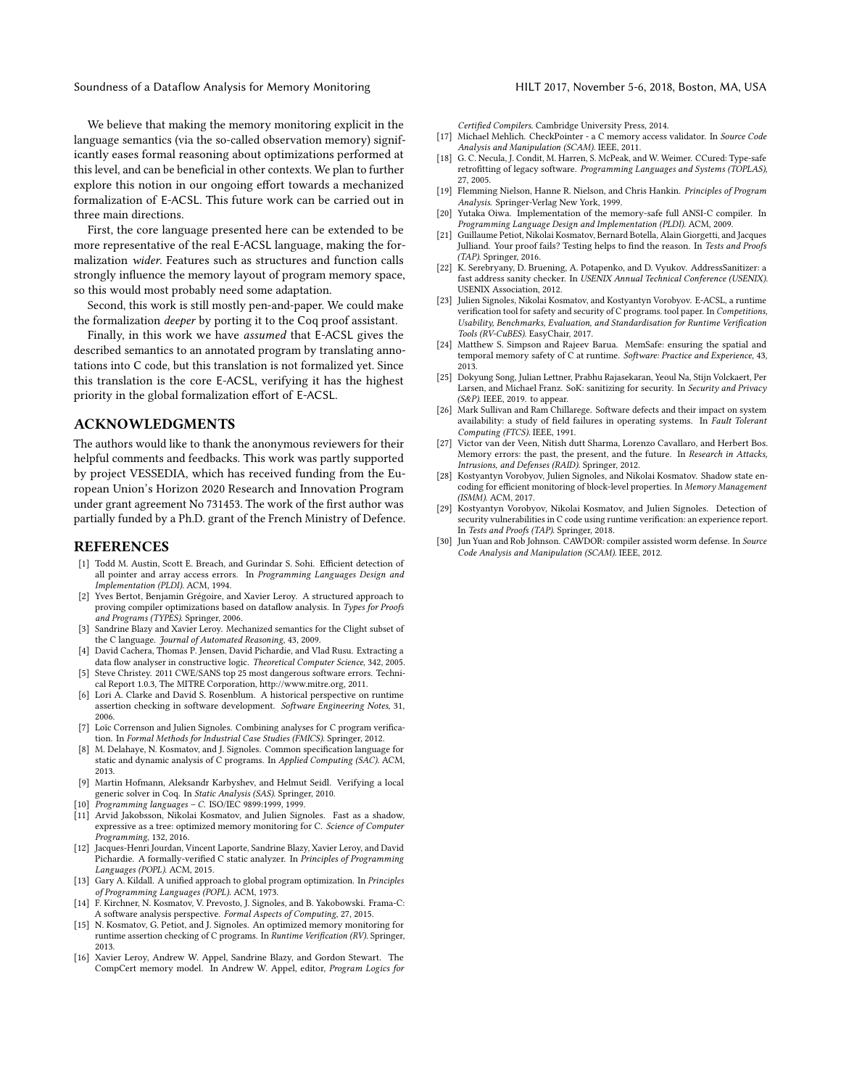We believe that making the memory monitoring explicit in the language semantics (via the so-called observation memory) significantly eases formal reasoning about optimizations performed at this level, and can be beneficial in other contexts. We plan to further explore this notion in our ongoing effort towards a mechanized formalization of E-ACSL. This future work can be carried out in three main directions.

First, the core language presented here can be extended to be more representative of the real E-ACSL language, making the formalization wider. Features such as structures and function calls strongly influence the memory layout of program memory space, so this would most probably need some adaptation.

Second, this work is still mostly pen-and-paper. We could make the formalization deeper by porting it to the Coq proof assistant.

Finally, in this work we have assumed that E-ACSL gives the described semantics to an annotated program by translating annotations into C code, but this translation is not formalized yet. Since this translation is the core E-ACSL, verifying it has the highest priority in the global formalization effort of E-ACSL.

# ACKNOWLEDGMENTS

The authors would like to thank the anonymous reviewers for their helpful comments and feedbacks. This work was partly supported by project VESSEDIA, which has received funding from the European Union's Horizon 2020 Research and Innovation Program under grant agreement No 731453. The work of the first author was partially funded by a Ph.D. grant of the French Ministry of Defence.

#### REFERENCES

- <span id="page-8-18"></span>[1] Todd M. Austin, Scott E. Breach, and Gurindar S. Sohi. Efficient detection of all pointer and array access errors. In Programming Languages Design and Implementation (PLDI). ACM, 1994.
- <span id="page-8-25"></span>[2] Yves Bertot, Benjamin Grégoire, and Xavier Leroy. A structured approach to proving compiler optimizations based on dataflow analysis. In Types for Proofs and Programs (TYPES). Springer, 2006.
- <span id="page-8-10"></span>[3] Sandrine Blazy and Xavier Leroy. Mechanized semantics for the Clight subset of the C language. Journal of Automated Reasoning, 43, 2009.
- <span id="page-8-29"></span>[4] David Cachera, Thomas P. Jensen, David Pichardie, and Vlad Rusu. Extracting a data flow analyser in constructive logic. Theoretical Computer Science, 342, 2005.
- <span id="page-8-0"></span>[5] Steve Christey. 2011 CWE/SANS top 25 most dangerous software errors. Technical Report 1.0.3, The MITRE Corporation, [http://www.mitre.org,](http://www.mitre.org) 2011.
- <span id="page-8-3"></span>[6] Lori A. Clarke and David S. Rosenblum. A historical perspective on runtime assertion checking in software development. Software Engineering Notes, 31, 2006.
- <span id="page-8-12"></span>[7] Loïc Correnson and Julien Signoles. Combining analyses for C program verification. In Formal Methods for Industrial Case Studies (FMICS). Springer, 2012.
- <span id="page-8-5"></span>[8] M. Delahaye, N. Kosmatov, and J. Signoles. Common specification language for static and dynamic analysis of C programs. In Applied Computing (SAC). ACM, 2013.
- <span id="page-8-28"></span>[9] Martin Hofmann, Aleksandr Karbyshev, and Helmut Seidl. Verifying a local generic solver in Coq. In Static Analysis (SAS). Springer, 2010.
- <span id="page-8-13"></span>[10] Programming languages – C. ISO/IEC 9899:1999, 1999.
- <span id="page-8-6"></span>[11] Arvid Jakobsson, Nikolai Kosmatov, and Julien Signoles. Fast as a shadow, expressive as a tree: optimized memory monitoring for C. Science of Computer Programming, 132, 2016.
- <span id="page-8-27"></span>[12] Jacques-Henri Jourdan, Vincent Laporte, Sandrine Blazy, Xavier Leroy, and David Pichardie. A formally-verified C static analyzer. In Principles of Programming Languages (POPL). ACM, 2015.
- <span id="page-8-26"></span>[13] Gary A. Kildall. A unified approach to global program optimization. In Principles of Programming Languages (POPL). ACM, 1973.
- <span id="page-8-4"></span>[14] F. Kirchner, N. Kosmatov, V. Prevosto, J. Signoles, and B. Yakobowski. Frama-C: A software analysis perspective. Formal Aspects of Computing, 27, 2015.
- <span id="page-8-21"></span>[15] N. Kosmatov, G. Petiot, and J. Signoles. An optimized memory monitoring for runtime assertion checking of C programs. In Runtime Verification (RV). Springer, 2013.
- <span id="page-8-9"></span>[16] Xavier Leroy, Andrew W. Appel, Sandrine Blazy, and Gordon Stewart. The CompCert memory model. In Andrew W. Appel, editor, Program Logics for

Certified Compilers. Cambridge University Press, 2014.

- <span id="page-8-20"></span>[17] Michael Mehlich. CheckPointer - a C memory access validator. In Source Code Analysis and Manipulation (SCAM). IEEE, 2011.
- <span id="page-8-22"></span>[18] G. C. Necula, J. Condit, M. Harren, S. McPeak, and W. Weimer. CCured: Type-safe retrofitting of legacy software. Programming Languages and Systems (TOPLAS), 27, 2005.
- <span id="page-8-11"></span>[19] Flemming Nielson, Hanne R. Nielson, and Chris Hankin. Principles of Program Analysis. Springer-Verlag New York, 1999.
- <span id="page-8-19"></span>[20] Yutaka Oiwa. Implementation of the memory-safe full ANSI-C compiler. In Programming Language Design and Implementation (PLDI). ACM, 2009.
- <span id="page-8-14"></span>[21] Guillaume Petiot, Nikolai Kosmatov, Bernard Botella, Alain Giorgetti, and Jacques Julliand. Your proof fails? Testing helps to find the reason. In Tests and Proofs (TAP). Springer, 2016.
- <span id="page-8-17"></span>[22] K. Serebryany, D. Bruening, A. Potapenko, and D. Vyukov. AddressSanitizer: a fast address sanity checker. In USENIX Annual Technical Conference (USENIX). USENIX Association, 2012.
- <span id="page-8-7"></span>[23] Julien Signoles, Nikolai Kosmatov, and Kostyantyn Vorobyov. E-ACSL, a runtime verification tool for safety and security of C programs. tool paper. In Competitions, Usability, Benchmarks, Evaluation, and Standardisation for Runtime Verification Tools (RV-CuBES). EasyChair, 2017.
- <span id="page-8-23"></span>[24] Matthew S. Simpson and Rajeev Barua. MemSafe: ensuring the spatial and temporal memory safety of C at runtime. Software: Practice and Experience, 43, 2013.
- <span id="page-8-15"></span>[25] Dokyung Song, Julian Lettner, Prabhu Rajasekaran, Yeoul Na, Stijn Volckaert, Per Larsen, and Michael Franz. SoK: sanitizing for security. In Security and Privacy  $(S\&P)$ . IEEE, 2019. to appear.
- <span id="page-8-1"></span>[26] Mark Sullivan and Ram Chillarege. Software defects and their impact on system availability: a study of field failures in operating systems. In Fault Tolerant Computing (FTCS). IEEE, 1991.
- <span id="page-8-2"></span>[27] Victor van der Veen, Nitish dutt Sharma, Lorenzo Cavallaro, and Herbert Bos. Memory errors: the past, the present, and the future. In Research in Attacks, Intrusions, and Defenses (RAID). Springer, 2012.
- <span id="page-8-8"></span>[28] Kostyantyn Vorobyov, Julien Signoles, and Nikolai Kosmatov. Shadow state encoding for efficient monitoring of block-level properties. In Memory Management (ISMM). ACM, 2017.
- <span id="page-8-16"></span>[29] Kostyantyn Vorobyov, Nikolai Kosmatov, and Julien Signoles. Detection of security vulnerabilities in C code using runtime verification: an experience report. In Tests and Proofs (TAP). Springer, 2018.
- <span id="page-8-24"></span>[30] Jun Yuan and Rob Johnson. CAWDOR: compiler assisted worm defense. In Source Code Analysis and Manipulation (SCAM). IEEE, 2012.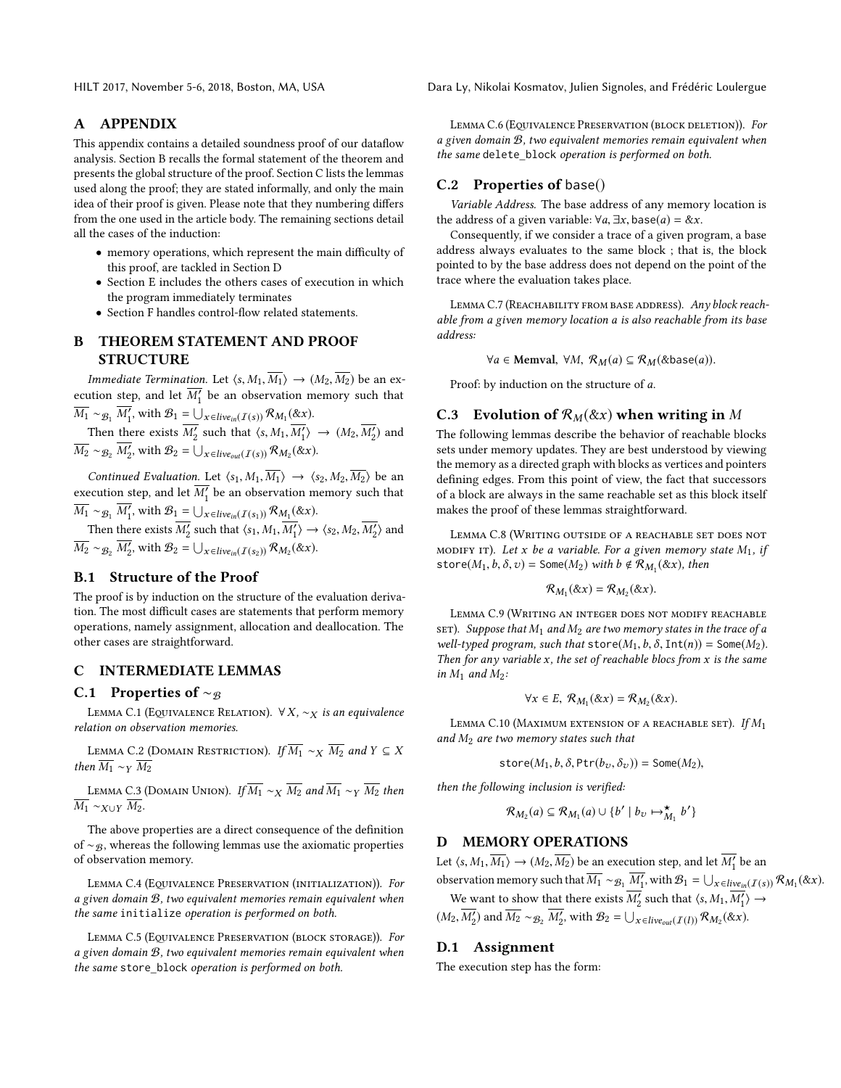HILT 2017, November 5-6, 2018, Boston, MA, USA Dara Ly, Nikolai Kosmatov, Julien Signoles, and Frédéric Loulergue

## A APPENDIX

This appendix contains a detailed soundness proof of our dataflow analysis. Section [B](#page-9-0) recalls the formal statement of the theorem and presents the global structure of the proof. Section [C](#page-9-1) lists the lemmas used along the proof; they are stated informally, and only the main idea of their proof is given. Please note that they numbering differs from the one used in the article body. The remaining sections detail all the cases of the induction:

- memory operations, which represent the main difficulty of this proof, are tackled in Section [D](#page-9-2)
- Section [E](#page-11-1) includes the others cases of execution in which the program immediately terminates
- Section [F](#page-11-2) handles control-flow related statements.

# <span id="page-9-0"></span>B THEOREM STATEMENT AND PROOF STRUCTURE

*Immediate Termination.* Let  $\langle s, M_1, \overline{M_1} \rangle \rightarrow (M_2, \overline{M_2})$  be an execution step, and let  $\overline{M'_1}$  be an observation memory such that  $\overline{M_1} \sim_{\mathcal{B}_1} \overline{M'_1}$ , with  $\mathcal{B}_1 = \bigcup_{x \in live_{in}(I(s))} \mathcal{R}_{M_1}(\&x)$ .

Then there exists  $\overline{M'_2}$  such that  $\langle s, M_1, \overline{M'_1} \rangle \rightarrow (M_2, \overline{M'_2})$  and  $\overline{M_2} \sim_{\mathcal{B}_2} \overline{M'_2}$ , with  $\mathcal{B}_2 = \bigcup_{x \in live_{out}(I(s))} \mathcal{R}_{M_2}(\&x)$ .

Continued Evaluation. Let  $\langle s_1, M_1, \overline{M_1} \rangle \rightarrow \langle s_2, M_2, \overline{M_2} \rangle$  be an execution step, and let  $\overline{M'_1}$  be an observation memory such that  $\overline{M_1} \sim_{\mathcal{B}_1} \overline{M'_1}$ , with  $\mathcal{B}_1 = \bigcup_{x \in \text{live}_{in}(I(s_1))} \mathcal{R}_{M_1}(\&x).$ 

Then there exists  $\overline{M'_2}$  such that  $\langle s_1, M_1, \overline{M'_1} \rangle \rightarrow \langle s_2, M_2, \overline{M'_2} \rangle$  and  $\overline{M_2} \sim_{\mathcal{B}_2} \overline{M'_2}$ , with  $\mathcal{B}_2 = \bigcup_{x \in live_{in}(I(s_2))} \mathcal{R}_{M_2}(\&x)$ .

# B.1 Structure of the Proof

The proof is by induction on the structure of the evaluation derivation. The most difficult cases are statements that perform memory operations, namely assignment, allocation and deallocation. The other cases are straightforward.

## <span id="page-9-1"></span>C INTERMEDIATE LEMMAS

#### C.1 Properties of  $~\sim$ <sub>B</sub>

LEMMA C.1 (EQUIVALENCE RELATION). ∀X,  $\sim_X$  is an equivalence relation on observation memories.

<span id="page-9-5"></span>LEMMA C.2 (DOMAIN RESTRICTION). If  $\overline{M_1} \sim_X \overline{M_2}$  and  $Y \subseteq X$ then  $\overline{M_1} \sim_Y \overline{M_2}$ 

<span id="page-9-6"></span>LEMMA C.3 (DOMAIN UNION). If  $\overline{M_1} \sim_X \overline{M_2}$  and  $\overline{M_1} \sim_Y \overline{M_2}$  then  $\overline{M_1} \sim_{X \cup Y} \overline{M_2}.$ 

The above properties are a direct consequence of the definition of ∼ $g$ , whereas the following lemmas use the axiomatic properties of observation memory.

<span id="page-9-3"></span>LEMMA C.4 (EQUIVALENCE PRESERVATION (INITIALIZATION)). For a given domain B, two equivalent memories remain equivalent when the same initialize operation is performed on both.

<span id="page-9-10"></span>LEMMA C.5 (EQUIVALENCE PRESERVATION (BLOCK STORAGE)). For a given domain B, two equivalent memories remain equivalent when the same store\_block operation is performed on both.

<span id="page-9-11"></span>LEMMA C.6 (EQUIVALENCE PRESERVATION (BLOCK DELETION)). For a given domain B, two equivalent memories remain equivalent when the same delete block operation is performed on both.

## C.2 Properties of base()

Variable Address. The base address of any memory location is the address of a given variable:  $\forall a, \exists x, \text{base}(a) = \&x$ .

Consequently, if we consider a trace of a given program, a base address always evaluates to the same block ; that is, the block pointed to by the base address does not depend on the point of the trace where the evaluation takes place.

<span id="page-9-9"></span>LEMMA C.7 (REACHABILITY FROM BASE ADDRESS). Any block reachable from a given memory location a is also reachable from its base address:

 $\forall a \in \text{Memval}, \forall M, \mathcal{R}_M(a) \subseteq \mathcal{R}_M(\&\text{base}(a)).$ 

Proof: by induction on the structure of a.

# C.3 Evolution of  $\mathcal{R}_M(\& x)$  when writing in M

The following lemmas describe the behavior of reachable blocks sets under memory updates. They are best understood by viewing the memory as a directed graph with blocks as vertices and pointers defining edges. From this point of view, the fact that successors of a block are always in the same reachable set as this block itself makes the proof of these lemmas straightforward.

<span id="page-9-4"></span>Lemma C.8 (Writing outside of a reachable set does not MODIFY IT). Let x be a variable. For a given memory state  $M_1$ , if store( $M_1, b, \delta, v$ ) = Some( $M_2$ ) with  $b \notin \mathcal{R}_{M_1}(\&x)$ , then

$$
\mathcal{R}_{M_1}(\& x) = \mathcal{R}_{M_2}(\& x).
$$

<span id="page-9-7"></span>Lemma C.9 (Writing an integer does not modify reachable SET). Suppose that  $M_1$  and  $M_2$  are two memory states in the trace of a well-typed program, such that store( $M_1, b, \delta$ , Int(n)) = Some( $M_2$ ). Then for any variable  $x$ , the set of reachable blocs from  $x$  is the same in  $M_1$  and  $M_2$ :

$$
\forall x \in E, R_{M_1}(\& x) = R_{M_2}(\& x).
$$

<span id="page-9-8"></span>LEMMA C.10 (MAXIMUM EXTENSION OF A REACHABLE SET). If  $M_1$ and  $M_2$  are two memory states such that

store $(M_1, b, \delta, \text{Ptr}(b_v, \delta_v))$  = Some $(M_2)$ ,

then the following inclusion is verified:

$$
\mathcal{R}_{M_2}(a) \subseteq \mathcal{R}_{M_1}(a) \cup \{b' \mid b_v \mapsto_{M_1}^{\star} b'\}
$$

## <span id="page-9-2"></span>D MEMORY OPERATIONS

Let  $\langle s, M_1, \overline{M_1} \rangle \rightarrow (M_2, \overline{M_2})$  be an execution step, and let  $\overline{M'_1}$  be an

observation memory such that  $\overline{M_1} \sim_{\mathcal{B}_1} \overline{M'_1}$ , with  $\mathcal{B}_1 = \bigcup_{x \in live_{in}(I(s))} \mathcal{R}_{M_1}(\&x)$ . We want to show that there exists  $\overline{M'_2}$  such that  $\langle s, M_1, \overline{M'_1} \rangle \rightarrow$ 

 $(M_2, \overline{M'_2})$  and  $\overline{M_2} \sim_{\mathcal{B}_2} \overline{M'_2}$ , with  $\mathcal{B}_2 = \bigcup_{x \in live_{out}(I(l))} \mathcal{R}_{M_2}(\&x)$ .

## D.1 Assignment

The execution step has the form: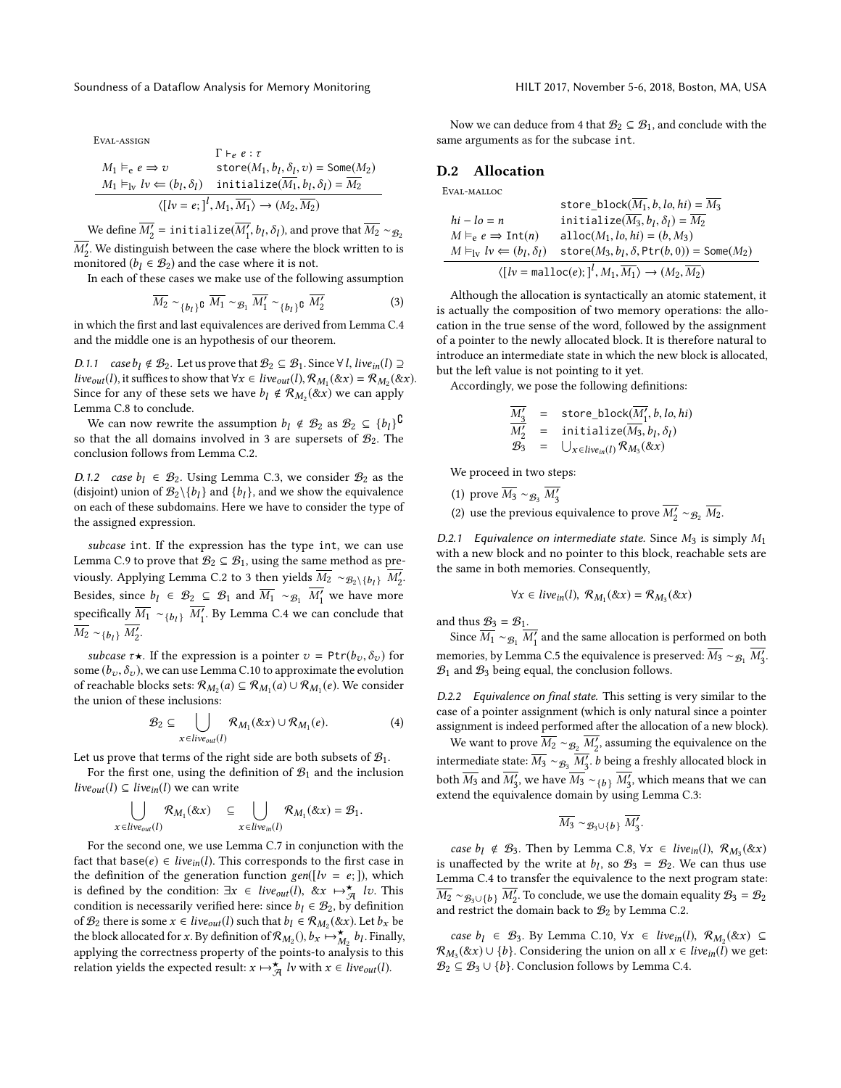Eval-assign

$$
M_1 \vDash_{e} e \Rightarrow v \quad \text{store}(M_1, b_1, \delta_1, v) = \text{Some}(M_2)
$$
\n
$$
M_1 \vDash_{\text{lv}} l v \Leftarrow (b_l, \delta_l) \quad \text{initialize}(\overline{M_1}, b_l, \delta_l) = \overline{M_2}
$$
\n
$$
\langle [l v = e; ]^l, M_1, \overline{M_1} \rangle \rightarrow (M_2, \overline{M_2})
$$

We define  $\overline{M'_2}$  = initialize( $\overline{M'_1}$ ,  $b_l$ ,  $\delta_l$ ), and prove that  $\overline{M_2} \sim_{\mathcal{B}_2}$  $\overline{M'_2}$ . We distinguish between the case where the block written to is monitored (b,  $\in \mathcal{B}_0$ ) and the case where it is not monitored ( $b_l \in \mathcal{B}_2$ ) and the case where it is not.

In each of these cases we make use of the following assumption

<span id="page-10-0"></span>
$$
\overline{M_2} \sim_{\{b_l\}} \mathfrak{c} \ \overline{M_1} \sim_{\mathcal{B}_1} \overline{M'_1} \sim_{\{b_l\}} \mathfrak{c} \ \overline{M'_2} \tag{3}
$$

in which the first and last equivalences are derived from Lemma [C.4](#page-9-3) and the middle one is an hypothesis of our theorem.

D.1.1 case  $b_l \notin \mathcal{B}_2$ . Let us prove that  $\mathcal{B}_2 \subseteq \mathcal{B}_1$ . Since  $\forall l$ , live<sub>in</sub>(l)  $\supseteq$ live<sub>out</sub>(l), it suffices to show that  $\forall x \in live_{out}(l), \mathcal{R}_{M_1}(\& x) = \mathcal{R}_{M_2}(\& x)$ .<br>Since for any of these sets we have h. 4  $\mathcal{R}_{M_1}(\& x)$  we can apply Since for any of these sets we have  $b_l \notin \mathcal{R}_{M_2}(\&x)$  we can apply Lemma C & to conclude Lemma [C.8](#page-9-4) to conclude.

We can now rewrite the assumption  $b_l \notin \mathcal{B}_2$  as  $\mathcal{B}_2 \subseteq \{b_l\}^{\complement}$ <br>that the all domains involved in 3 are supersets of  $\mathcal{B}_2$ . The so that the all domains involved in [3](#page-10-0) are supersets of  $\mathcal{B}_2$ . The conclusion follows from Lemma [C.2.](#page-9-5)

D.1.2 case  $b_1 \in \mathcal{B}_2$ . Using Lemma [C.3,](#page-9-6) we consider  $\mathcal{B}_2$  as the (disjoint) union of  $\mathcal{B}_2 \setminus \{b_l\}$  and  $\{b_l\}$ , and we show the equivalence<br>on each of these subdomains. Here we have to consider the type of on each of these subdomains. Here we have to consider the type of the assigned expression.

subcase int. If the expression has the type int, we can use Lemma [C.9](#page-9-7) to prove that  $\mathcal{B}_2 \subseteq \mathcal{B}_1$ , using the same method as pre-viously. Applying Lemma [C.2](#page-9-5) to [3](#page-10-0) then yields  $\overline{M_2} \sim g_2 \setminus \{b_l\}$   $\overline{M'_2}$ . Besides, since  $b_l \in \mathcal{B}_2 \subseteq \mathcal{B}_1$  and  $\overline{M_1} \sim_{\mathcal{B}_1} \overline{M'_1}$  we have more specifically  $\overline{M_1} \sim_{\{b_l\}} \overline{M'_1}$ . By Lemma [C.4](#page-9-3) we can conclude that  $\overline{M_2} \sim_{\{b_l\}} \overline{M'_2}.$ 

subcase  $\tau \star$ . If the expression is a pointer  $v = \text{Ptr}(b_v, \delta_v)$  for some  $(b_v, \delta_v)$ , we can use Lemma [C.10](#page-9-8) to approximate the evolution of reachable blocks sets:  $\mathcal{R}_{M_2}(a) \subseteq \mathcal{R}_{M_1}(a) \cup \mathcal{R}_{M_1}(e)$ . We consider the union of these inclusions: the union of these inclusions:

<span id="page-10-1"></span>
$$
\mathcal{B}_2 \subseteq \bigcup_{x \in live_{out}(l)} \mathcal{R}_{M_1}(\&x) \cup \mathcal{R}_{M_1}(e). \tag{4}
$$

Let us prove that terms of the right side are both subsets of  $\mathcal{B}_1$ .

For the first one, using the definition of  $\mathcal{B}_1$  and the inclusion *live*<sub>out</sub>(*l*) ⊆ *live*<sub>in</sub>(*l*) we can write

$$
\bigcup_{x \in live_{out}(l)} \mathcal{R}_{M_1}(\& x) \subseteq \bigcup_{x \in live_{in}(l)} \mathcal{R}_{M_1}(\& x) = \mathcal{B}_1.
$$

For the second one, we use Lemma [C.7](#page-9-9) in conjunction with the fact that base( $e$ )  $\in$  *live*<sub>in</sub>(*l*). This corresponds to the first case in the definition of the generation function  $gen([lv = e;])$ , which is defined by the condition:  $\exists x \in live_{out}(l), \& x \mapsto \overline{a} \quad iv$ . This condition is necessarily verified here: since  $b_l \in \mathcal{B}_2$  by definition of  $\mathcal{B}_2$  there is some  $x \in live_{out}(l)$  such that  $b_l \in \mathcal{R}_{M_2}(\& x)$ . Let  $b_x$  be the block allocated for x By definition of  $\mathcal{R}_{M_2}(h)$ ,  $\rightarrow \infty$ ,  $h$ . Finally the block allocated for x. By definition of  $\mathcal{R}_{M_2}$  (),  $b_x \mapsto_{M_2}^{\star} b_l$ . Finally, applying the correctness property of the points-to analysis to this relation yields the expected result:  $x \mapsto \overline{A}$  *lv* with  $x \in live_{out}(l)$ .

Now we can deduce from [4](#page-10-1) that  $\mathcal{B}_2 \subseteq \mathcal{B}_1$ , and conclude with the same arguments as for the subcase int.

## D.2 Allocation

Eval-malloc

$$
\begin{array}{ll}\n\text{store\_block}(\overline{M_1}, b, l_0, h_i) = \overline{M_3} \\
\hline\nh_i - l_0 = n & \text{initialize}(\overline{M_3}, b_1, \delta_1) = \overline{M_2} \\
M \vDash_{e} e \Rightarrow \text{Int}(n) & \text{alloc}(M_1, l_0, h_i) = (b, M_3) \\
M \vDash_{\text{lv}} l_0 \Leftarrow (b_1, \delta_1) & \text{store}(M_3, b_1, \delta, \text{Ptr}(b, 0)) = \text{Some}(M_2) \\
\langle [l_0 = \text{malloc}(e); ]^l, M_1, \overline{M_1} \rangle \rightarrow (M_2, \overline{M_2})\n\end{array}
$$

Although the allocation is syntactically an atomic statement, it is actually the composition of two memory operations: the allocation in the true sense of the word, followed by the assignment of a pointer to the newly allocated block. It is therefore natural to introduce an intermediate state in which the new block is allocated, but the left value is not pointing to it yet.

Accordingly, we pose the following definitions:

$$
\frac{\overline{M'_3}}{\overline{M'_2}} = \text{store\_block}(\overline{\overline{M'_1}}, b, lo, hi)
$$
\n
$$
\mathcal{B}'_3 = \text{initialize}(\overline{M_3}, b_l, \delta_l)
$$
\n
$$
\mathcal{B}_3 = \bigcup_{x \in live_{in}(l)} \mathcal{R}_{M_3}(\&x)
$$

We proceed in two steps:

(1) prove  $\overline{M_3} \sim_{\mathcal{B}_3} \overline{M'_3}$ 

(2) use the previous equivalence to prove  $\overline{M'_2} \sim_{\mathcal{B}_2} \overline{M_2}$ .

D.2.1 Equivalence on intermediate state. Since  $M_3$  is simply  $M_1$ with a new block and no pointer to this block, reachable sets are the same in both memories. Consequently,

$$
\forall x \in live_{in}(l), \mathcal{R}_{M_1}(\& x) = \mathcal{R}_{M_3}(\& x)
$$

and thus  $\mathcal{B}_3 = \mathcal{B}_1$ .

Since  $\overline{M_1} \sim_{\mathcal{B}_1} \overline{M'_1}$  and the same allocation is performed on both memories, by Lemma [C.5](#page-9-10) the equivalence is preserved:  $\overline{M_3} \sim g_1 \overline{M_3'}$ .<br>B. and Be being equal the conclusion follows  $B_1$  and  $B_3$  being equal, the conclusion follows.

D.2.2 Equivalence on final state. This setting is very similar to the case of a pointer assignment (which is only natural since a pointer assignment is indeed performed after the allocation of a new block).

We want to prove  $\overline{M_2} \sim_{\mathcal{B}_2} \overline{M'_2}$ , assuming the equivalence on the intermediate state:  $\overline{M_3} \sim_{\mathcal{B}_3} \overline{M'_3}$ . *b* being a freshly allocated block in both  $\overline{M_3}$  and  $\overline{M_3'}$ , we have  $\overline{M_3} \sim_{\{b\}} \overline{M_3'}$ , which means that we can<br>extend the equivalence domain by using Lemma C 3: extend the equivalence domain by using Lemma [C.3:](#page-9-6)

$$
\overline{M_3} \sim_{\mathcal{B}_3\cup\{b\}} \overline{M_3'}.
$$

case  $b_l \notin B_3$ . Then by Lemma [C.8,](#page-9-4)  $\forall x \in live_{in}(l)$ ,  $\mathcal{R}_{M_3}(\&x)$ is unaffected by the write at  $b_l$ , so  $\mathcal{B}_3 = \mathcal{B}_2$ . We can thus use I emma C 4 to transfer the equivalence to the next program state Lemma [C.4](#page-9-3) to transfer the equivalence to the next program state:  $\overline{M_2} \sim_{\mathcal{B}_3 \cup \{b\}} \overline{M_2'}$ . To conclude, we use the domain equality  $\mathcal{B}_3 = \mathcal{B}_2$ <br>and restrict the domain back to  $\mathcal{B}_3$  by Lemma C 2 and restrict the domain back to  $B_2$  by Lemma [C.2.](#page-9-5)

case  $b_l \in \mathcal{B}_3$ . By Lemma [C.10,](#page-9-8)  $\forall x \in live_{in}(l), \mathcal{R}_{M_2}(\& x) \subseteq$ <br>  $\epsilon(\& x) \cup \{b\}$  Considering the union on all  $x \in live$ . (1) we get  $R_{M_3}(x x) \cup \{b\}$ . Considering the union on all  $x \in live_{in}(l)$  we get:<br> $R_2 \subset R_3 \cup \{b\}$ . Conclusion follows by Lemma C 4  $\mathcal{B}_2 \subseteq \mathcal{B}_3 \cup \{b\}$ . Conclusion follows by Lemma [C.4.](#page-9-3)